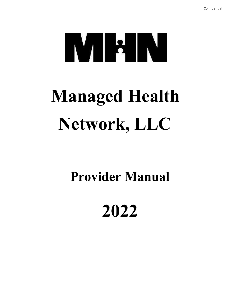

# **Managed Health Network, LLC**

## **Provider Manual**

## **2022**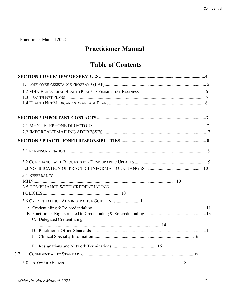Practitioner Manual 2022

### **Practitioner Manual**

### **Table of Contents**

| 3.4 REFERRAL TO                                  |  |
|--------------------------------------------------|--|
|                                                  |  |
| <b>3.5 COMPLIANCE WITH CREDENTIALING</b>         |  |
|                                                  |  |
| 3.6 CREDENTIALING: ADMINISTRATIVE GUIDELINES  11 |  |
|                                                  |  |
| C. Delegated Credentialing                       |  |
|                                                  |  |
|                                                  |  |
|                                                  |  |
|                                                  |  |
| 3.7                                              |  |
|                                                  |  |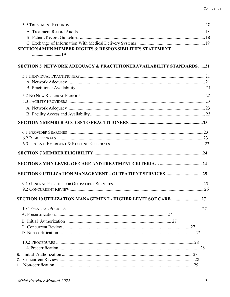| <b>SECTION 4 MHN MEMBER RIGHTS &amp; RESPONSIBILITIES STATEMENT</b><br>19<br>SECTION 5 NETWORK ADEQUACY & PRACTITIONERAVAILABILITY STANDARDS21<br>9.2 CONCURRENT REVIEW.<br>SECTION 10 UTILIZATION MANAGEMENT - HIGHER LEVELSOF CARE  27<br>В. |  |
|------------------------------------------------------------------------------------------------------------------------------------------------------------------------------------------------------------------------------------------------|--|
|                                                                                                                                                                                                                                                |  |
|                                                                                                                                                                                                                                                |  |
|                                                                                                                                                                                                                                                |  |
|                                                                                                                                                                                                                                                |  |
|                                                                                                                                                                                                                                                |  |
|                                                                                                                                                                                                                                                |  |
|                                                                                                                                                                                                                                                |  |
|                                                                                                                                                                                                                                                |  |
|                                                                                                                                                                                                                                                |  |
|                                                                                                                                                                                                                                                |  |
|                                                                                                                                                                                                                                                |  |
|                                                                                                                                                                                                                                                |  |
|                                                                                                                                                                                                                                                |  |
|                                                                                                                                                                                                                                                |  |
|                                                                                                                                                                                                                                                |  |
|                                                                                                                                                                                                                                                |  |
|                                                                                                                                                                                                                                                |  |
|                                                                                                                                                                                                                                                |  |
|                                                                                                                                                                                                                                                |  |
|                                                                                                                                                                                                                                                |  |
|                                                                                                                                                                                                                                                |  |
|                                                                                                                                                                                                                                                |  |
|                                                                                                                                                                                                                                                |  |
|                                                                                                                                                                                                                                                |  |
|                                                                                                                                                                                                                                                |  |
|                                                                                                                                                                                                                                                |  |
|                                                                                                                                                                                                                                                |  |
|                                                                                                                                                                                                                                                |  |
|                                                                                                                                                                                                                                                |  |
|                                                                                                                                                                                                                                                |  |
|                                                                                                                                                                                                                                                |  |
|                                                                                                                                                                                                                                                |  |
|                                                                                                                                                                                                                                                |  |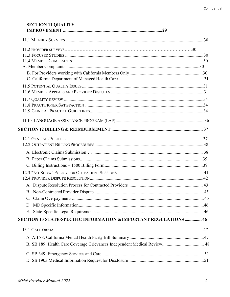#### **SECTION 11 QUALITY**

| <b>SECTION 13 STATE-SPECIFIC INFORMATION &amp; IMPORTANT REGULATIONS  46</b> |  |
|------------------------------------------------------------------------------|--|
|                                                                              |  |
|                                                                              |  |
|                                                                              |  |
|                                                                              |  |
|                                                                              |  |
|                                                                              |  |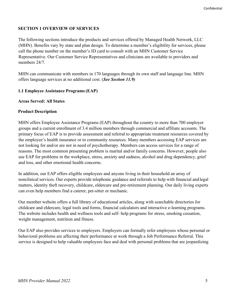#### <span id="page-4-0"></span>**SECTION 1 OVERVIEW OF SERVICES**

The following sections introduce the products and services offered by Managed Health Network, LLC (MHN). Benefits vary by state and plan design. To determine a member's eligibility for services, please call the phone number on the member's ID card to consult with an MHN Customer Service Representative. Our Customer Service Representatives and clinicians are available to providers and members 24/7.

MHN can communicate with members in 170 languages through its own staff and language line. MHN offers language services at no additional cost. (*See Section 11.9)*

#### **1.1 Employee Assistance Programs(EAP)**

#### **Areas Served: All States**

#### **Product Description**

MHN offers Employee Assistance Programs (EAP) throughout the country to more than 700 employer groups and a current enrollment of 3.4 million members through commercial and affiliate accounts. The primary focus of EAP is to provide assessment and referral to appropriate treatment resources covered by the employee's health insurance or to community resources. Many members accessing EAP services are not looking for and/or are not in need of psychotherapy. Members can access services for a range of reasons. The most common presenting problem is marital and/or family concerns. However, people also use EAP for problems in the workplace, stress, anxiety and sadness, alcohol and drug dependency, grief and loss, and other emotional health concerns.

In addition, our EAP offers eligible employees and anyone living in their household an array of nonclinical services. Our experts provide telephonic guidance and referrals to help with financial and legal matters, identity theft recovery, childcare, eldercare and pre-retirement planning. Our daily living experts can even help members find a caterer, pet-sitter or mechanic.

Our member website offers a full library of educational articles, along with searchable directories for childcare and eldercare, legal tools and forms, financial calculators and interactive e-learning programs. The website includes health and wellness tools and self- help programs for stress, smoking cessation, weight management, nutrition and fitness.

Our EAP also provides services to employers. Employers can formally refer employees whose personal or behavioral problems are affecting their performance at work through a Job Performance Referral. This service is designed to help valuable employees face and deal with personal problems that are jeopardizing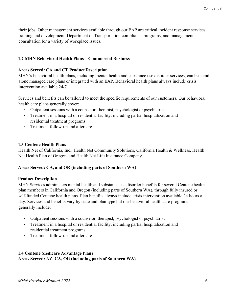their jobs. Other management services available through our EAP are critical incident response services, training and development, Department of Transportation compliance programs, and management consultation for a variety of workplace issues.

#### **1.2 MHN Behavioral Health Plans – Commercial Business**

#### **Areas Served: CA and CT Product Description**

MHN's behavioral health plans, including mental health and substance use disorder services, can be standalone managed care plans or integrated with an EAP. Behavioral health plans always include crisis intervention available 24/7.

Services and benefits can be tailored to meet the specific requirements of our customers. Our behavioral health care plans generally cover:

- Outpatient sessions with a counselor, therapist, psychologist or psychiatrist
- Treatment in a hospital or residential facility, including partial hospitalization and residential treatment programs
- Treatment follow-up and aftercare

#### **1.3 Centene Health Plans**

Health Net of California, Inc., Health Net Community Solutions, California Health & Wellness, Health Net Health Plan of Oregon, and Health Net Life Insurance Company

#### **Areas Served: CA, and OR (including parts of Southern WA)**

#### **Product Description**

MHN Services administers mental health and substance use disorder benefits for several Centene health plan members in California and Oregon (including parts of Southern WA), through fully insured or self-funded Centene health plans. Plan benefits always include crisis intervention available 24 hours a day. Services and benefits vary by state and plan type but our behavioral health care programs generally include:

- Outpatient sessions with a counselor, therapist, psychologist or psychiatrist
- Treatment in a hospital or residential facility, including partial hospitalization and residential treatment programs
- Treatment follow-up and aftercare

#### **1.4 Centene Medicare Advantage Plans Areas Served: AZ, CA, OR (including parts of Southern WA)**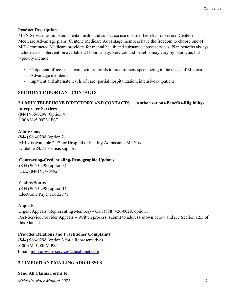#### **Product Description**

MHN Services administers mental health and substance use disorder benefits for several Centene Medicare Advantage plans. Centene Medicare Advantage members have the freedom to choose one of MHN contracted Medicare providers for mental health and substance abuse services. Plan benefits always include crisis intervention available 24 hours a day. Services and benefits may vary by plan type, but typically include:

- Outpatient office-based care, with referrals to practitioners specializing in the needs of Medicare Advantage members
- Inpatient and alternate levels of care (partial hospitalization, intensive outpatient)

#### <span id="page-6-0"></span>**SECTION 2 IMPORTANT CONTACTS**

#### **2.1 MHN TELEPHONE DIRECTORY AND CONTACTS Authorizations-Benefits-Eligibility-Interpreter Services**

(844) 966-0298 (Option 4) 8:00AM-5:00PM PST

#### **Admissions**

(844) 966-0298 (option 2) MHN is available 24/7 for Hospital or Facility Admissions MHN is available 24/7 for crisis support

#### **Contracting-Credentialing-Demographic Updates**

(844) 966-0298 (option 3) Fax: (844) 974-0492

#### **Claims Status**

(844) 966-0298 (option 1) Electronic Payer ID: 22771

#### **Appeals**

Urgent Appeals (Representing Member) – Call (888) 426-0028, option 1 Post-Service Provider Appeals – Written process, submit to address shown below and see Section 12.5 of this Manual

#### **Provider Relations and Practitioner Complaints**

(844) 966-0298 (option 3 for a Representative) 8:00AM-5:00PM PST Email: [mhn.providerservices@healthnet.com](mailto:mhn.providerservices@healthnet.com)

#### <span id="page-6-1"></span>**2.2 IMPORTANT MAILING ADDRESSES**

#### **Send All Claims Forms to:**

*MHN Provider Manual 2022* 7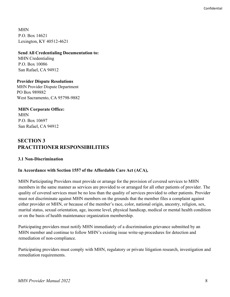MHN P.O. Box 14621 Lexington, KY 40512-4621

**Send All Credentialing Documentation to:** MHN Credentialing P.O. Box 10086 San Rafael, CA 94912

**Provider Dispute Resolutions** MHN Provider Dispute Department PO Box 989882 West Sacramento, CA 95798-9882

**MHN Corporate Office:** MHN P.O. Box 10697 San Rafael, CA 94912

#### **SECTION 3 PRACTITIONER RESPONSIBILITIES**

<span id="page-7-0"></span>**3.1 Non-Discrimination**

#### **In Accordance with Section 1557 of the Affordable Care Act (ACA),**

MHN Participating Providers must provide or arrange for the provision of covered services to MHN members in the same manner as services are provided to or arranged for all other patients of provider. The quality of covered services must be no less than the quality of services provided to other patients. Provider must not discriminate against MHN members on the grounds that the member files a complaint against either provider or MHN, or because of the member's race, color, national origin, ancestry, religion, sex, marital status, sexual orientation, age, income level, physical handicap, medical or mental health condition or on the basis of health maintenance organization membership.

Participating providers must notify MHN immediately of a discrimination grievance submitted by an MHN member and continue to follow MHN's existing issue write-up procedures for detection and remediation of non-compliance.

Participating providers must comply with MHN, regulatory or private litigation research, investigation and remediation requirements.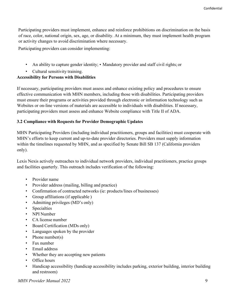Participating providers must implement, enhance and reinforce prohibitions on discrimination on the basis of race, color, national origin, sex, age, or disability. At a minimum, they must implement health program or activity changes to avoid discrimination where necessary.

Participating providers can consider implementing:

- An ability to capture gender identity; Mandatory provider and staff civil rights; or
- Cultural sensitivity training.

#### **Accessibility for Persons with Disabilities**

If necessary, participating providers must assess and enhance existing policy and procedures to ensure effective communication with MHN members, including those with disabilities. Participating providers must ensure their programs or activities provided through electronic or information technology such as Websites or on-line versions of materials are accessible to individuals with disabilities. If necessary, participating providers must assess and enhance Website compliance with Title II of ADA.

#### **3.2 Compliance with Requests for Provider Demographic Updates**

MHN Participating Providers (including individual practitioners, groups and facilities) must cooperate with MHN's efforts to keep current and up-to-date provider directories. Providers must supply information within the timelines requested by MHN, and as specified by Senate Bill SB 137 (California providers only).

Lexis Nexis actively outreaches to individual network providers, individual practitioners, practice groups and facilities quarterly. This outreach includes verification of the following:

- Provider name
- Provider address (mailing, billing and practice)
- Confirmation of contracted networks (ie: products/lines of businesses)
- Group affiliations (if applicable )
- Admitting privileges (MD's only)
- Specialties
- NPI Number
- CA license number
- Board Certification (MDs only)
- Languages spoken by the provider
- Phone number(s)
- Fax number
- Email address
- Whether they are accepting new patients
- Office hours
- Handicap accessibility (handicap accessibility includes parking, exterior building, interior building and restroom)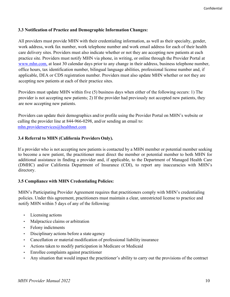#### **3.3 Notification of Practice and Demographic Information Changes:**

All providers must provide MHN with their credentialing information, as well as their specialty, gender, work address, work fax number, work telephone number and work email address for each of their health care delivery sites. Providers must also indicate whether or not they are accepting new patients at each practice site. Providers must notify MHN via phone, in writing, or online through the Provider Portal at [www.mhn.com,](http://www.mhn.com/) at least 30 calendar days prior to any change in their address, business telephone number, office hours, tax identification number, bilingual language abilities, professional license number and, if applicable, DEA or CDS registration number. Providers must also update MHN whether or not they are accepting new patients at each of their practice sites.

Providers must update MHN within five (5) business days when either of the following occurs: 1) The provider is not accepting new patients; 2) If the provider had previously not accepted new patients, they are now accepting new patients.

Providers can update their demographics and/or profile using the Provider Portal on MHN's website or calling the provider line at 844-966-0298, and/or sending an email to: [mhn.providerservices@healthnet.com](mailto:mhn.providerservices@healthnet.com)

#### **3.4 Referral to MHN (California Providers Only).**

If a provider who is not accepting new patients is contacted by a MHN member or potential member seeking to become a new patient, the practitioner must direct the member or potential member to both MHN for additional assistance in finding a provider and, if applicable, to the Department of Managed Health Care (DMHC) and/or California Department of Insurance (CDI), to report any inaccuracies with MHN's directory.

#### **3.5 Compliance with MHN Credentialing Policies:**

MHN's Participating Provider Agreement requires that practitioners comply with MHN's credentialing policies. Under this agreement, practitioners must maintain a clear, unrestricted license to practice and notify MHN within 5 days of any of the following:

- Licensing actions
- Malpractice claims or arbitration
- Felony indictments
- Disciplinary actions before a state agency
- Cancellation or material modification of professional liability insurance
- Actions taken to modify participation in Medicare or Medicaid
- Enrollee complaints against practitioner
- Any situation that would impact the practitioner's ability to carry out the provisions of the contract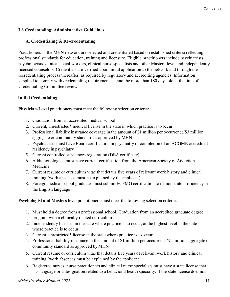#### <span id="page-10-1"></span><span id="page-10-0"></span>**3.6 Credentialing: Administrative Guidelines**

#### **A. Credentialing & Re-credentialing**

Practitioners in the MHN network are selected and credentialed based on established criteria reflecting professional standards for education, training and licensure. Eligible practitioners include psychiatrists, psychologists, clinical social workers, clinical nurse specialists and other Masters-level and independently licensed counselors. Credentials are verified upon initial application to the network and through the recredentialing process thereafter, as required by regulatory and accrediting agencies. Information supplied to comply with credentialing requirements cannot be more than 180 days old at the time of Credentialing Committee review.

#### **Initial Credentialing**

**Physician-Level** practitioners must meet the following selection criteria:

- 1. Graduation from an accredited medical school
- 2. Current, unrestricted\* medical license in the state in which practice is to occur.
- 3. Professional liability insurance coverage in the amount of \$1 million per occurrence/\$3 million aggregate or community standard as approved by MHN
- 4. Psychiatrists must have Board certification in psychiatry or completion of an ACGME-accredited residency in psychiatry
- 5. Current controlled substances registration (DEA certificate)
- 6. Addictionologists must have current certification from the American Society of Addiction Medicine
- 7. Current resume or curriculum vitae that details five years of relevant work history and clinical training (work absences must be explained by the applicant)
- 8. Foreign medical school graduates must submit ECFMG certification to demonstrate proficiencyin the English language

#### **Psychologist and Masters level** practitioners must meet the following selection criteria:

- 1. Must hold a degree from a professional school. Graduation from an accredited graduate degree program with a clinically related curriculum
- 2. Independently licensed in the state where practice is to occur, at the highest level in the state where practice is to occur
- 3. Current, unrestricted\* license in the state where practice is to occur
- 4. Professional liability insurance in the amount of \$1 million per occurrence/\$1 million aggregate or community standard as approved by MHN
- 5. Current resume or curriculum vitae that details five years of relevant work history and clinical training (work absences must be explained by the applicant)
- 6. Registered nurses, nurse practitioners and clinical nurse specialists must have a state license that has language or a designation related to a behavioral health specialty. If the state license does not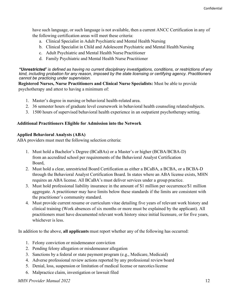have such language, or such language is not available, then a current ANCC Certification in any of the following certification areas will meet these criteria:

- a. Clinical Specialist in Adult Psychiatric and Mental Health Nursing
- b. Clinical Specialist in Child and Adolescent Psychiatric and Mental Health Nursing
- c. Adult Psychiatric and Mental Health Nurse Practitioner
- d. Family Psychiatric and Mental Health Nurse Practitioner

*"Unrestricted" is defined as having no current disciplinary investigations, conditions, or restrictions of any kind, including probation for any reason, imposed by the state licensing or certifying agency. Practitioners cannot be practicing under supervision.*

**Registered Nurses, Nurse Practitioners and Clinical Nurse Specialists:** Must be able to provide psychotherapy and attest to having a minimum of:

- 1. Master's degree in nursing or behavioral health-related area.
- 2. 36 semester hours of graduate level coursework in behavioral health counseling related subjects.
- 3. 1500 hours of supervised behavioral health experience in an outpatient psychotherapy setting.

#### **Additional Practitioners Eligible for Admission into the Network**

#### **Applied Behavioral Analysts (ABA)**

ABA providers must meet the following selection criteria:

- 1. Must hold a Bachelor's Degree (BCaBAs) or a Master's or higher (BCBA/BCBA-D) from an accredited school per requirements of the Behavioral Analyst Certification Board,
- 2. Must hold a clear, unrestricted Board Certification as either a BCaBA, a BCBA, or a BCBA-D through the Behavioral Analyst Certification Board. In states where an ABA license exists, MHN requires an ABA license. All BCaBA's must deliver services under a group practice.
- 3. Must hold professional liability insurance in the amount of \$1 million per occurrence/\$1 million aggregate. A practitioner may have limits below these standards if the limits are consistent with the practitioner's community standard.
- 4. Must provide current resume or curriculum vitae detailing five years of relevant work history and clinical training (Work absences of six months or more must be explained by the applicant). All practitioners must have documented relevant work history since initial licensure, or for five years, whichever is less.

In addition to the above, **all applicants** must report whether any of the following has occurred:

- 1. Felony conviction or misdemeanor conviction
- 2. Pending felony allegation or misdemeanor allegation
- 3. Sanctions by a federal or state payment program (e.g., Medicare, Medicaid)
- 4. Adverse professional review actions reported by any professional review board
- 5. Denial, loss, suspension or limitation of medical license or narcoticslicense
- 6. Malpractice claim, investigation or lawsuit filed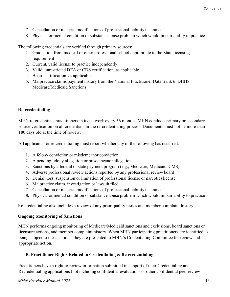- 7. Cancellation or material modifications of professional liability insurance
- 8. Physical or mental condition or substance abuse problem which would impair ability to practice

The following credentials are verified through primary sources:

- 1. Graduation from medical or other professional school appropriate to the State licensing requirement
- 2. Current, valid license to practice independently
- 3. Valid, unrestricted DEA or CDS certification, as applicable
- 4. Board certification, as applicable
- 5. Malpractice claims payment history from the National Practitioner Data Bank 6. DHHS Medicare/Medicaid Sanctions

#### **Re-credentialing**

MHN re-credentials practitioners in its network every 36 months. MHN conducts primary or secondary source verification on all credentials in the re-credentialing process. Documents must not be more than 180 days old at the time of review.

All applicants for re-credentialing must report whether any of the following has occurred:

- 1. A felony conviction or misdemeanor conviction
- 2. A pending felony allegation or misdemeanor allegation
- 3. Sanctions by a federal or state payment program (e.g., Medicare, Medicaid, CMS)
- 4. Adverse professional review actions reported by any professional review board
- 5. Denial, loss, suspension or limitation of professional license or narcoticslicense
- 6. Malpractice claim, investigation or lawsuit filed
- 7. Cancellation or material modifications of professional liability insurance
- **8.** Physical or mental condition or substance abuse problem which would impair ability to practice

Re-credentialing also includes a review of any prior quality issues and member complaint history.

#### **Ongoing Monitoring of Sanctions**

MHN performs ongoing monitoring of Medicare/Medicaid sanctions and exclusions, board sanctions or licensure actions, and member complaint history. When MHN participating practitioners are identified as being subject to these actions, they are presented to MHN's Credentialing Committee for review and appropriate action.

#### **B. Practitioner Rights Related to Credentialing & Re-credentialing**

<span id="page-12-0"></span>Practitioners have a right to review information submitted in support of their Credentialing and Recredentialing applications (not including confidential evaluations or other confidential peer review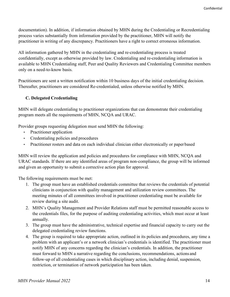documentation). In addition, if information obtained by MHN during the Credentialing or Recredentialing process varies substantially from information provided by the practitioner, MHN will notify the practitioner in writing of any discrepancy. Practitioners have a right to correct erroneous information.

All information gathered by MHN in the credentialing and re-credentialing process is treated confidentially, except as otherwise provided by law. Credentialing and re-credentialing information is available to MHN Credentialing staff, Peer and Quality Reviewers and Credentialing Committee members only on a need-to-know basis.

Practitioners are sent a written notification within 10 business days of the initial credentialing decision. Thereafter, practitioners are considered Re-credentialed, unless otherwise notified by MHN.

#### **C. Delegated Credentialing**

<span id="page-13-0"></span>MHN will delegate credentialing to practitioner organizations that can demonstrate their credentialing program meets all the requirements of MHN, NCQA and URAC.

Provider groups requesting delegation must send MHN the following:

- Practitioner application
- Credentialing policies and procedures
- Practitioner rosters and data on each individual clinician either electronically or paper based

MHN will review the application and policies and procedures for compliance with MHN, NCQA and URAC standards. If there are any identified areas of program non-compliance, the group will be informed and given an opportunity to submit a corrective action plan for approval.

The following requirements must be met:

- 1. The group must have an established credentials committee that reviews the credentials of potential clinicians in conjunction with quality management and utilization review committees. The meeting minutes of all committees involved in practitioner credentialing must be available for review during a site audit.
- 2. MHN's Quality Management and Provider Relations staff must be permitted reasonable access to the credentials files, for the purpose of auditing credentialing activities, which must occur at least annually.
- 3. The group must have the administrative, technical expertise and financial capacity to carry out the delegated credentialing review functions.
- 4. The group is required to take appropriate action, outlined in its policies and procedures, any time a problem with an applicant's or a network clinician's credentials is identified. The practitioner must notify MHN of any concerns regarding the clinician's credentials. In addition, the practitioner must forward to MHN a narrative regarding the conclusions, recommendations, actions and follow-up of all credentialing cases in which disciplinary action, including denial, suspension, restriction, or termination of network participation has been taken.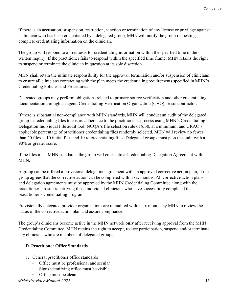If there is an accusation, suspension, restriction, sanction or termination of any license or privilege against a clinician who has been credentialed by a delegated group, MHN will notify the group requesting complete credentialing information on the clinician.

The group will respond to all requests for credentialing information within the specified time in the written inquiry. If the practitioner fails to respond within the specified time frame, MHN retains the right to suspend or terminate the clinician in question at its sole discretion.

MHN shall retain the ultimate responsibility for the approval, termination and/or suspension of clinicians to ensure all clinicians contracting with the plan meets the credentialing requirements specified in MHN's Credentialing Policies and Procedures.

Delegated groups may perform obligations related to primary source verification and other credentialing documentation through an agent, Credentialing Verification Organization (CVO), or subcontractor.

If there is substantial non-compliance with MHN standards, MHN will conduct an audit of the delegated group's credentialing files to ensure adherence to the practitioner's process using MHN's Credentialing Delegation Individual File audit tool; NCQA's file selection rule of 8/30, at a minimum; and URAC's applicable percentage of practitioner credentialing files randomly selected. MHN will review no fewer than 20 files— 10 initial files and 10 re-credentialing files. Delegated groups must pass the audit with a 90% or greater score.

If the files meet MHN standards, the group will enter into a Credentialing Delegation Agreement with MHN.

A group can be offered a provisional delegation agreement with an approved corrective action plan, if the group agrees that the corrective action can be completed within six months. All corrective action plans and delegation agreements must be approved by the MHN Credentialing Committee along with the practitioner's roster identifying those individual clinicians who have successfully completed the practitioner's credentialing program.

Provisionally delegated provider organizations are re-audited within six months by MHN to review the status of the corrective action plan and assure compliance.

The group's clinicians become active in the MHN network **only** after receiving approval from the MHN Credentialing Committee. MHN retains the right to accept, reduce participation, suspend and/or terminate any clinicians who are members of delegated groups.

#### <span id="page-14-0"></span>**D. Practitioner Office Standards**

- 1. General practitioner office standards
	- Office must be professional and secular
	- Signs identifying office must be visible
	- Office must be clean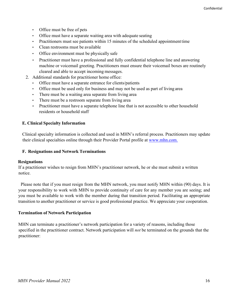- Office must be free of pets
- Office must have a separate waiting area with adequate seating
- Practitioners must see patients within 15 minutes of the scheduled appointment time
- Clean restrooms must be available
- Office environment must be physically safe
- Practitioner must have a professional and fully confidential telephone line and answering machine or voicemail greeting. Practitioners must ensure their voicemail boxes are routinely cleared and able to accept incoming messages.
- 2. Additional standards for practitioner home office:
	- Office must have a separate entrance for clients/patients
	- Office must be used only for business and may not be used as part of living area
	- There must be a waiting area separate from living area
	- There must be a restroom separate from living area
	- Practitioner must have a separate telephone line that is not accessible to other household residents or household staff

#### <span id="page-15-0"></span>**E. Clinical Specialty Information**

Clinical specialty information is collected and used in MHN's referral process. Practitioners may update their clinical specialties online through their Provider Portal profile at [www.mhn.com.](http://www.mhn.com/)

#### <span id="page-15-1"></span>**F. Resignations and Network Terminations**

#### **Resignations**

If a practitioner wishes to resign from MHN's practitioner network, he or she must submit a written notice.

Please note that if you must resign from the MHN network, you must notify MHN within (90) days. It is your responsibility to work with MHN to provide continuity of care for any member you are seeing; and you must be available to work with the member during that transition period. Facilitating an appropriate transition to another practitioner or service is good professional practice. We appreciate your cooperation.

#### **Termination of Network Participation**

MHN can terminate a practitioner's network participation for a variety of reasons, including those specified in the practitioner contract. Network participation will *not* be terminated on the grounds that the practitioner: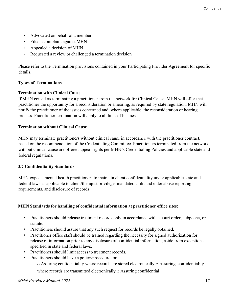- Advocated on behalf of a member
- Filed a complaint against MHN
- Appealed a decision of MHN
- Requested a review or challenged a termination decision

Please refer to the Termination provisions contained in your Participating Provider Agreement for specific details.

#### **Types of Terminations**

#### **Termination with Clinical Cause**

If MHN considers terminating a practitioner from the network for Clinical Cause, MHN will offer that practitioner the opportunity for a reconsideration or a hearing, as required by state regulation. MHN will notify the practitioner of the issues concerned and, where applicable, the reconsideration or hearing process. Practitioner termination will apply to all lines of business.

#### **Termination without Clinical Cause**

MHN may terminate practitioners without clinical cause in accordance with the practitioner contract, based on the recommendation of the Credentialing Committee. Practitioners terminated from the network without clinical cause are offered appeal rights per MHN's Credentialing Policies and applicable state and federal regulations.

#### <span id="page-16-0"></span>**3.7 Confidentiality Standards**

MHN expects mental health practitioners to maintain client confidentiality under applicable state and federal laws as applicable to client/therapist privilege, mandated child and elder abuse reporting requirements, and disclosure of records.

#### **MHN Standards for handling of confidential information at practitioner office sites:**

- Practitioners should release treatment records only in accordance with a court order, subpoena, or statute.
- Practitioners should assure that any such request for records be legally obtained.
- Practitioner office staff should be trained regarding the necessity for signed authorization for release of information prior to any disclosure of confidential information, aside from exceptions specified in state and federal laws.
- Practitioners should limit access to treatment records.
- Practitioners should have a policy/procedure for:
	- o Assuring confidentiality where records are stored electronically o Assuring confidentiality

where records are transmitted electronically  $\circ$  Assuring confidential

#### *MHN Provider Manual 2022* 17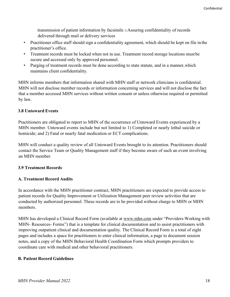transmission of patient information by facsimile oAssuring confidentiality of records delivered through mail or delivery services

- Practitioner office staff should sign a confidentiality agreement, which should be kept on file in the practitioner's office.
- Treatment records must be locked when not in use. Treatment record storage locations must be secure and accessed only by approved personnel.
- Purging of treatment records must be done according to state statute, and in a manner,which maintains client confidentiality.

MHN informs members that information shared with MHN staff or network clinicians is confidential. MHN will not disclose member records or information concerning services and will not disclose the fact that a member accessed MHN services without written consent or unless otherwise required or permitted by law.

#### <span id="page-17-0"></span>**3.8 Untoward Events**

Practitioners are obligated to report to MHN of the occurrence of Untoward Events experienced by a MHN member. Untoward events include but not limited to 1) Completed or nearly lethal suicide or homicide; and 2) Fatal or nearly fatal medication or ECT complications.

MHN will conduct a quality review of all Untoward Events brought to its attention. Practitioners should contact the Service Team or Quality Management staff if they become aware of such an event involving an MHN member.

#### <span id="page-17-1"></span>**3.9 Treatment Records**

#### <span id="page-17-2"></span>**A. Treatment Record Audits**

In accordance with the MHN practitioner contract, MHN practitioners are expected to provide access to patient records for Quality Improvement or Utilization Management peer review activities that are conducted by authorized personnel. These records are to be provided without charge to MHN or MHN members.

MHN has developed a Clinical Record Form (available at [www.mhn.com](http://www.mhn.com/) under "Providers-Working with MHN- Resources- Forms") that is a template for clinical documentation and to assist practitioners with improving outpatient clinical and documentation quality. The Clinical Record Form is a total of eight pages and includes a space for practitioners to enter clinical information, a page to document session notes, and a copy of the MHN Behavioral Health Coordination Form which prompts providers to coordinate care with medical and other behavioral practitioners.

#### <span id="page-17-3"></span>**B. Patient Record Guidelines**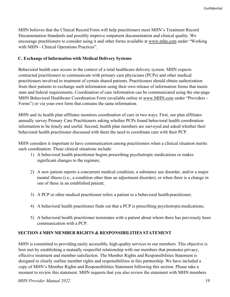MHN believes that the Clinical Record Form will help practitioners meet MHN's Treatment Record Documentation Standards and possibly improve outpatient documentation and clinical quality. We encourage practitioners to consider using it and other forms available at [www.mhn.com](http://www.mhn.com/) under "Working with MHN - Clinical Operations Practices".

#### <span id="page-18-0"></span>**C. Exchange of Information with Medical Delivery Systems**

Behavioral health care occurs in the context of a total healthcare delivery system. MHN expects contracted practitioners to communicate with primary care physicians (PCPs) and other medical practitioners involved in treatment of certain shared patients. Practitioners should obtain authorization from their patients to exchange such information using their own release of information forms that meets state and federal requirements. Coordination of care information can be communicated using the one-page MHN Behavioral Healthcare Coordination Form (available online at [www.MHN.com](http://www.mhn.com/) under "Providers - Forms") or via your own form that contains the same information.

MHN and its health plan affiliates monitors coordination of care in two ways. First, our plan affiliates annually survey Primary Care Practitioners asking whether PCPs found behavioral health coordination information to be timely and useful. Second, health plan members are surveyed and asked whether their behavioral health practitioner discussed with them the need to coordinate care with their PCP.

MHN considers it important to have communication among practitioners when a clinical situation merits such coordination. These clinical situations include:

- 1) A behavioral health practitioner begins prescribing psychotropic medications or makes significant changes to the regimen;
- 2) A new patient reports a concurrent medical condition, a substance use disorder, and/or a major mental illness (i.e., a condition other than an adjustment disorder), or when there is a change in one of these in an established patient;
- 3) A PCP or other medical practitioner refers a patient to a behavioral health practitioner;
- 4) A behavioral health practitioner finds out that a PCP is prescribing psychotropicmedications;
- 5) A behavioral health practitioner terminates with a patient about whom there has previously been communication with a PCP.

#### <span id="page-18-1"></span>**SECTION 4 MHN MEMBER RIGHTS & RESPONSIBILITIES STATEMENT**

MHN is committed to providing easily accessible, high-quality services to our members. This objective is best met by establishing a mutually respectful relationship with our members that promotes privacy, effective treatment and member satisfaction. The Member Rights and Responsibilities Statement is designed to clearly outline member rights and responsibilities in this partnership. We have included a copy of MHN's Member Rights and Responsibilities Statement following this section. Please take a moment to review this statement. MHN requests that you also review the statement with MHN members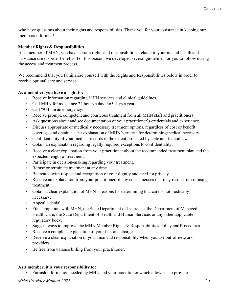who have questions about their rights and responsibilities. Thank you for your assistance in keeping our members informed!

#### **Member Rights & Responsibilities**

As a member of MHN, you have certain rights and responsibilities related to your mental health and substance use disorder benefits. For this reason, we developed several guidelines for you to follow during the access and treatment process.

We recommend that you familiarize yourself with the Rights and Responsibilities below in order to receive optimal care and service.

#### **As a member, you have a right to:**

- Receive information regarding MHN services and clinical guidelines.
- Call MHN for assistance 24 hours a day, 365 days a year.
- Call "911" in an emergency.
- Receive prompt, competent and courteous treatment from all MHN staff and practitioners.
- Ask questions about and see documentation of your practitioner's credentials and experience.
- Discuss appropriate or medically necessary treatment options, regardless of cost or benefit coverage, and obtain a clear explanation of MHN's criteria for determiningmedical necessity.
- Confidentiality of your medical records to the extent protected by state and federal law.
- Obtain an explanation regarding legally required exceptions to confidentiality.
- Receive a clear explanation from your practitioner about the recommended treatment plan and the expected length of treatment.
- Participate in decision-making regarding your treatment.
- Refuse or terminate treatment at any time.
- Be treated with respect and recognition of your dignity and need for privacy.
- Receive an explanation from your practitioner of any consequences that may result from refusing treatment.
- Obtain a clear explanation of MHN's reasons for determining that care is not medically necessary.
- Appeal a denial.
- File complaints with MHN, the State Department of Insurance, the Department of Managed Health Care, the State Department of Health and Human Services or any other applicable regulatory body.
- Suggest ways to improve the MHN Member Rights & Responsibilities Policy and Procedures.
- Receive a complete explanation of your fees and charges.
- Receive a clear explanation of your financial responsibility when you use out-of-network providers.
- Be free from balance billing from your practitioner.

#### **As a member, it is your responsibility to:**

• Furnish information needed by MHN and your practitioner which allows us to provide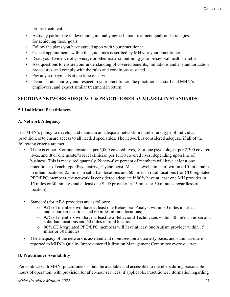proper treatment.

- Actively participate in developing mutually agreed-upon treatment goals and strategies for achieving those goals.
- Follow the plans you have agreed upon with your practitioner.
- Cancel appointments within the guidelines described by MHN or your practitioner.
- Read your Evidence of Coverage or other material outlining your behavioral health benefits.
- Ask questions to ensure your understanding of covered benefits, limitations and any authorization procedures, and comply with the rules and conditions as stated.
- Pay any co-payments at the time of service
- Demonstrate courtesy and respect to your practitioner, the practitioner's staff and MHN's employees, and expect similar treatment in return.

#### <span id="page-20-0"></span>**SECTION 5 NETWORK ADEQUACY & PRACTITIONER AVAILABILITY STANDARDS**

#### <span id="page-20-1"></span>**5.1 Individual Practitioners**

#### <span id="page-20-2"></span>**A. Network Adequacy**

It is MHN's policy to develop and maintain an adequate network in number and type of individual practitioners to ensure access to all needed specialties. The network is considered adequate if all of the following criteria are met:

- There is either .8 or one physician per 5,000 covered lives, .8 or one psychologist per 2,300 covered lives, and .8 or one master's level clinician per 1,150 covered lives, depending upon line of business. This is measured quarterly. Ninety-five percent of members will have at least one practitioner of each type (Psychiatrist, Psychologist, Master Level clinician) within a 10-mile radius in urban locations, 25 miles in suburban locations and 60 miles in rural locations (for CDI regulated PPO/EPO members, the network is considered adequate if 90% have at least one MH provider in 15 miles or 30 minutes and at least one SUD provider in 15 miles or 30 minutes regardless of location).
- Standards for ABA providers are as follows:
	- o 95% of members will have at least one Behavioral Analyst within 30 miles in urban and suburban locations and 60 miles in rural locations;
	- o 95% of members will have at least two Behavioral Technicians within 30 miles in urban and suburban locations and 60 miles in rural locations;
	- o 90% CDI-regulated PPO/EPO members will have at least one Autism provider within 15 miles or 30 minutes.
- The adequacy of the network is assessed and monitored on a quarterly basis, and summaries are reported to MHN's Quality Improvement/Utilization Management Committee every quarter.

#### <span id="page-20-3"></span>**B. Practitioner Availability**

Per contract with MHN, practitioners should be available and accessible to members during reasonable hours of operation, with provision for after-hour services, if applicable. Practitioner information regarding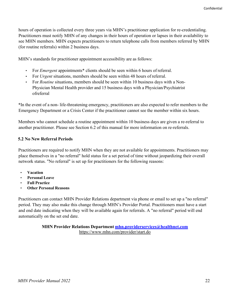hours of operation is collected every three years via MHN's practitioner application for re-credentialing. Practitioners must notify MHN of any changes in their hours of operation or lapses in their availability to see MHN members. MHN expects practitioners to return telephone calls from members referred by MHN (for routine referrals) within 2 business days.

MHN's standards for practitioner appointment accessibility are as follows:

- For *Emergent* appointments\* clients should be seen within 6 hours of referral.
- For *Urgent* situations, members should be seen within 48 hours of referral.
- For *Routine* situations, members should be seen within 10 business days with a Non-Physician Mental Health provider and 15 business days with a Physician/Psychiatrist ofreferral

\*In the event of a non- life-threatening emergency, practitioners are also expected to refer members to the Emergency Department or a Crisis Center if the practitioner cannot see the member within six hours.

Members who cannot schedule a routine appointment within 10 business days are given a re-referral to another practitioner. Please see Section 6.2 of this manual for more information on re-referrals.

#### <span id="page-21-0"></span>**5.2 No New Referral Periods**

Practitioners are required to notify MHN when they are not available for appointments. Practitioners may place themselves in a "no referral" hold status for a set period of time without jeopardizing their overall network status. "No referral" is set up for practitioners for the following reasons:

- **Vacation**
- **Personal Leave**
- **Full Practice**
- **Other Personal Reasons**

Practitioners can contact MHN Provider Relations department via phone or email to set up a "no referral" period. They may also make this change through MHN's Provider Portal. Practitioners must have a start and end date indicating when they will be available again for referrals. A "no referral" period will end automatically on the set end date.

> **MHN Provider Relations Department [mhn.providerservices@healthnet.com](mailto:mhn.providerservices@healthnet.com)** https[://www.mhn.com/provider/start.do](http://www.mhn.com/provider/start.do)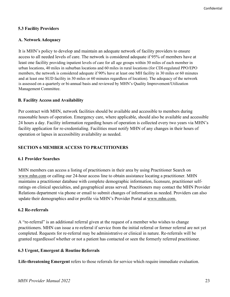#### <span id="page-22-0"></span>**5.3 Facility Providers**

#### <span id="page-22-1"></span>**A. Network Adequacy**

It is MHN's policy to develop and maintain an adequate network of facility providers to ensure access to all needed levels of care. The network is considered adequate if 95% of members have at least one facility providing inpatient levels of care for all age groups within 30 miles of each member in urban locations, 40 miles in suburban locations and 60 miles in rural locations (for CDI-regulated PPO/EPO members, the network is considered adequate if 90% have at least one MH facility in 30 miles or 60 minutes and at least one SUD facility in 30 miles or 60 minutes regardless of location). The adequacy of the network is assessed on a quarterly or bi-annual basis and reviewed by MHN's Quality Improvement/Utilization Management Committee.

#### <span id="page-22-2"></span>**B. Facility Access and Availability**

Per contract with MHN, network facilities should be available and accessible to members during reasonable hours of operation. Emergency care, where applicable, should also be available and accessible 24 hours a day. Facility information regarding hours of operation is collected every two years via MHN's facility application for re-credentialing. Facilities must notify MHN of any changes in their hours of operation or lapses in accessibility availability as needed.

#### <span id="page-22-3"></span>**SECTION 6 MEMBER ACCESS TO PRACTITIONERS**

#### <span id="page-22-4"></span>**6.1 Provider Searches**

MHN members can access a listing of practitioners in their area by using Practitioner Search on [www.mhn.com](http://www.mhn.com/) or calling our 24-hour access line to obtain assistance locating a practitioner. MHN maintains a practitioner database with complete demographic information, licensure, practitioner selfratings on clinical specialties, and geographical areas served. Practitioners may contact the MHN Provider Relations department via phone or email to submit changes of information as needed. Providers can also update their demographics and/or profile via MHN's Provider Portal at [www.mhn.com.](http://www.mhn.com/)

#### <span id="page-22-5"></span>**6.2 Re-referrals**

A "re-referral" is an additional referral given at the request of a member who wishes to change practitioners. MHN can issue a re-referral if service from the initial referral or former referral are not yet completed. Requests for re-referral may be administrative or clinical in nature. Re-referrals will be granted regardlessof whether or not a patient has contacted or seen the formerly referred practitioner.

#### <span id="page-22-6"></span>**6.3 Urgent, Emergent & Routine Referrals**

**Life-threatening Emergent** refers to those referrals for service which require immediate evaluation.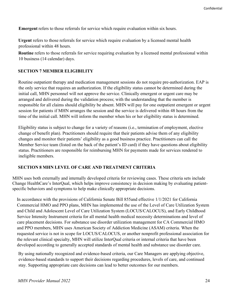**Emergent** refers to those referrals for service which require evaluation within six hours.

**Urgent** refers to those referrals for service which require evaluation by a licensed mental health professional within 48 hours.

**Routine** refers to those referrals for service requiring evaluation by a licensed mental professional within 10 business (14 calendar) days.

#### <span id="page-23-0"></span>**SECTION 7 MEMBER ELIGIBILITY**

Routine outpatient therapy and medication management sessions do not require pre-authorization. EAP is the only service that requires an authorization. If the eligibility status cannot be determined during the initial call, MHN personnel will not approve the service. Clinically emergent or urgent care may be arranged and delivered during the validation process; with the understanding that the member is responsible for all claims should eligibility be absent. MHN will pay for one outpatient emergent or urgent session for patients if MHN arranges the session and the service is delivered within 48 hours from the time of the initial call. MHN will inform the member when his or her eligibility status is determined.

Eligibility status is subject to change for a variety of reasons (i.e., termination of employment, elective change of benefit plan). Practitioners should require that their patients advise them of any eligibility changes and monitor their patients' eligibility as a good business practice. Practitioners can call the Member Service team (listed on the back of the patient's ID card) if they have questions about eligibility status. Practitioners are responsible for reimbursing MHN for payments made for services rendered to ineligible members.

#### <span id="page-23-1"></span>**SECTION 8 MHN LEVEL OF CARE AND TREATMENT CRITERIA**

MHN uses both externally and internally developed criteria for reviewing cases. These criteria sets include Change HealthCare's InterQual, which helps improve consistency in decision making by evaluating patientspecific behaviors and symptoms to help make clinically appropriate decisions.

In accordance with the provisions of California Senate Bill 855and effective 1/1/2021 for California Commercial HMO and PPO plans, MHN has implemented the use of the Level of Care Utilization System and Child and Adolescent Level of Care Utilization System (LOCUS/CALOCUS), and Early Childhood Service Intensity Instrument criteria for all mental health medical necessity determinations and level of care placement decisions. For substance use disorder utilization management for CA Commercial HMO and PPO members, MHN uses American Society of Addiction Medicine (ASAM) criteria. When the requested service is not in scope for LOCUS/CALOCUS, or another nonprofit professional association for the relevant clinical specialty, MHN will utilize InterQual criteria or internal criteria that have been developed according to generally accepted standards of mental health and substance use disorder care.

By using nationally recognized and evidence-based criteria, our Care Managers are applying objective, evidence-based standards to support their decisions regarding procedures, levels of care, and continued stay. Supporting appropriate care decisions can lead to better outcomes for our members.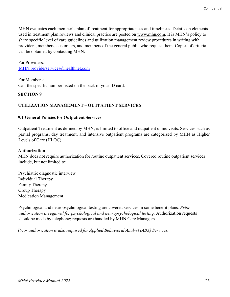MHN evaluates each member's plan of treatment for appropriateness and timeliness. Details on elements used in treatment plan reviews and clinical practice are posted on [www.mhn.com.](http://www.mhn.com/) It is MHN's policy to share specific level of care guidelines and utilization management review procedures in writing with providers, members, customers, and members of the general public who request them. Copies of criteria can be obtained by contacting MHN:

#### For Providers: [MHN.providerservices@healthnet.com](mailto:MHN.providerservices@healthnet.com)

For Members: Call the specific number listed on the back of your ID card.

#### **SECTION 9**

#### **UTILIZATION MANAGEMENT – OUTPATIENT SERVICES**

#### <span id="page-24-0"></span>**9.1 General Policies for Outpatient Services**

Outpatient Treatment as defined by MHN, is limited to office and outpatient clinic visits. Services such as partial programs, day treatment, and intensive outpatient programs are categorized by MHN as Higher Levels of Care (HLOC).

#### **Authorization**

MHN does not require authorization for routine outpatient services. Covered routine outpatient services include, but not limited to:

Psychiatric diagnostic interview Individual Therapy Family Therapy Group Therapy Medication Management

Psychological and neuropsychological testing are covered services in some benefit plans*. Prior authorization is required for psychological and neuropsychological testing.* Authorization requests shouldbe made by telephone; requests are handled by MHN Care Managers.

*Prior authorization is also required for Applied Behavioral Analyst (ABA) Services.*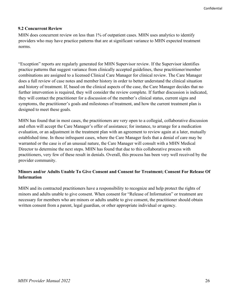#### <span id="page-25-0"></span>**9.2 Concurrent Review**

MHN does concurrent review on less than 1% of outpatient cases. MHN uses analytics to identify providers who may have practice patterns that are at significant variance to MHN expected treatment norms.

"Exception" reports are regularly generated for MHN Supervisor review. If the Supervisor identifies practice patterns that suggest variance from clinically accepted guidelines, these practitioner/member combinations are assigned to a licensed Clinical Care Manager for clinical review. The Care Manager does a full review of case notes and member history in order to better understand the clinical situation and history of treatment. If, based on the clinical aspects of the case, the Care Manager decides that no further intervention is required, they will consider the review complete. If further discussion is indicated, they will contact the practitioner for a discussion of the member's clinical status, current signs and symptoms, the practitioner's goals and milestones of treatment, and how the current treatment plan is designed to meet these goals.

MHN has found that in most cases, the practitioners are very open to a collegial, collaborative discussion and often will accept the Care Manager's offer of assistance; for instance, to arrange for a medication evaluation, or an adjustment in the treatment plan with an agreement to review again at a later, mutually established time. In those infrequent cases, where the Care Manager feels that a denial of care may be warranted or the case is of an unusual nature, the Care Manager will consult with a MHN Medical Director to determine the next steps. MHN has found that due to this collaborative process with practitioners, very few of these result in denials. Overall, this process has been very well received by the provider community.

#### **Minors and/or Adults Unable To Give Consent and Consent for Treatment; Consent For Release Of Information**

MHN and its contracted practitioners have a responsibility to recognize and help protect the rights of minors and adults unable to give consent. When consent for "Release of Information" or treatment are necessary for members who are minors or adults unable to give consent, the practitioner should obtain written consent from a parent, legal guardian, or other appropriate individual or agency.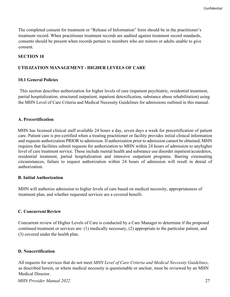The completed consent for treatment or "Release of Information" form should be in the practitioner's treatment record. When practitioner treatment records are audited against treatment record standards, consents should be present when records pertain to members who are minors or adults unable to give consent.

#### **SECTION 10**

#### **UTILIZATION MANAGEMENT - HIGHER LEVELS OF CARE**

#### <span id="page-26-0"></span>**10.1 General Policies**

This section describes authorization for higher levels of care (inpatient psychiatric, residential treatment, partial hospitalization, structured outpatient, inpatient detoxification, substance abuse rehabilitation) using the MHN Level of Care Criteria and Medical Necessity Guidelines for admissions outlined in this manual.

#### <span id="page-26-1"></span>**A. Precertification**

MHN has licensed clinical staff available 24 hours a day, seven days a week for precertification of patient care. Patient care is pre-certified when a treating practitioner or facility provides initial clinical information and requests authorization PRIOR to admission. If authorization prior to admission cannot be obtained, MHN requires that facilities submit requests for authorization to MHN within 24 hours of admission to anyhigher level of care treatment service. These include mental health and substance use disorder inpatient/acutedetox, residential treatment, partial hospitalization and intensive outpatient programs. Barring extenuating circumstances, failure to request authorization within 24 hours of admission will result in denial of authorization.

#### <span id="page-26-2"></span>**B. Initial Authorization**

MHN will authorize admission to higher levels of care based on medical necessity, appropriateness of treatment plan, and whether requested services are a covered benefit.

#### <span id="page-26-3"></span>**C. Concurrent Review**

Concurrent review of Higher Levels of Care is conducted by a Care Manager to determine if the proposed continued treatment or services are: (1) medically necessary, (2) appropriate to the particular patient, and (3) covered under the health plan.

#### <span id="page-26-4"></span>**D. Noncertification**

All requests for services that do not meet *MHN Level of Care Criteria and Medical Necessity Guidelines*, as described herein, or where medical necessity is questionable or unclear, must be reviewed by an MHN Medical Director.

*MHN Provider Manual 2022* 27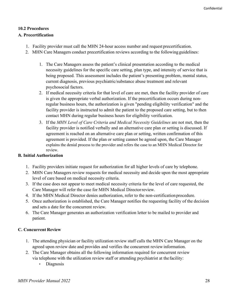#### <span id="page-27-0"></span>**10.2 Procedures**

#### <span id="page-27-1"></span>**A. Precertification**

- 1. Facility provider must call the MHN 24-hour access number and request precertification.
- 2. MHN Care Managers conduct precertification reviews according to the following guidelines:
	- 1. The Care Managers assess the patient's clinical presentation according to the medical necessity guidelines for the specific care setting, plan type, and intensity of service that is being proposed. This assessment includes the patient's presenting problem, mental status, current diagnosis, previous psychiatric/substance abuse treatment and relevant psychosocial factors.
	- 2. If medical necessity criteria for that level of care are met, then the facility provider of care is given the appropriate verbal authorization. If the precertification occurs during nonregular business hours, the authorization is given "pending eligibility verification" and the facility provider is instructed to admit the patient to the proposed care setting, but to then contact MHN during regular business hours for eligibility verification.
	- 3. If the *MHN Level of Care Criteria and Medical Necessity Guidelines* are not met, then the facility provider is notified verbally and an alternative care plan or setting is discussed. If agreement is reached on an alternative care plan or setting, written confirmation of this agreement is provided. If the plan or setting cannot be agreed upon, the Care Manager explains the denial process to the provider and refers the case to an MHN Medical Director for review.

#### <span id="page-27-2"></span>**B. Initial Authorization**

- 1. Facility providers initiate request for authorization for all higher levels of care by telephone.
- 2. MHN Care Managers review requests for medical necessity and decide upon the most appropriate level of care based on medical necessity criteria.
- 3. If the case does not appear to meet medical necessity criteria for the level of care requested, the Care Manager will refer the case for MHN Medical Directorreview.
- 4. If the MHN Medical Director denies authorization, refer to the non-certification procedure.
- 5. Once authorization is established, the Care Manager notifies the requesting facility of the decision and sets a date for the concurrent review.
- 6. The Care Manager generates an authorization verification letter to be mailed to provider and patient.

#### <span id="page-27-3"></span>**C. Concurrent Review**

- 1. The attending physician or facility utilization review staff calls the MHN Care Manager on the agreed upon review date and provides and verifies the concurrent review information.
- 2. The Care Manager obtains all the following information required for concurrent review via telephone with the utilization review staff or attending psychiatrist at the facility:
	- Diagnosis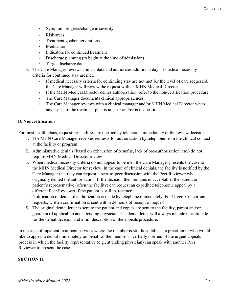- Symptom progress/change in severity
- Risk areas
- Treatment goals/interventions
- **Medications**
- Indicators for continued treatment
- Discharge planning (to begin at the time of admission)
- Target discharge date
- 3. The Care Manager reviews clinical data and authorizes additional days if medical necessity criteria for continued stay are met.
	- If medical necessity criteria for continuing stay are not met for the level of care requested, the Care Manager will review the request with an MHN Medical Director.
	- If the MHN Medical Director denies authorization, refer to the non-certification procedure.
	- The Care Manager documents clinical appropriateness.
	- The Care Manager reviews with a clinical manager and/or MHN Medical Director when any aspect of the treatment plan is unclear and/or is in question.

#### <span id="page-28-0"></span>**D. Noncertification**

For most health plans, requesting facilities are notified by telephone immediately of the review decision.

- 1. The MHN Care Manager receives requests for authorization by telephone from the clinical contact at the facility or program.
- 2. Administrative denials (based on exhaustion of benefits, lack of pre-authorization, etc.) do not require MHN Medical Director review.
- 3. When medical necessity criteria do not appear to be met, the Care Manager presents the case to the MHN Medical Director for review. In the case of clinical denials, the facility is notified by the Care Manager that they can request a peer-to-peer discussion with the Peer Reviewer who originally denied the authorization. If the decision then remains unacceptable, the patient or patient's representative (often the facility) can request an expedited telephonic appeal by a different Peer Reviewer if the patient is still in treatment.
- 4. Notification of denial of authorization is made by telephone immediately. For UrgentConcurrent requests, written confirmation is sent within 24 hours of receipt of request.
- 5. The original denial letter is sent to the patient and copies are sent to the facility, parent and/or guardian (if applicable) and attending physician. The denial letter will always include the rationale for the denial decision and a full description of the appeals procedure.

In the case of inpatient treatment services where the member is still hospitalized, a practitioner who would like to appeal a denial immediately on behalf of the member is verbally notified of the urgent appeals process in which the facility representative (e.g., attending physician) can speak with another Peer Reviewer to present the case.

#### **SECTION 11**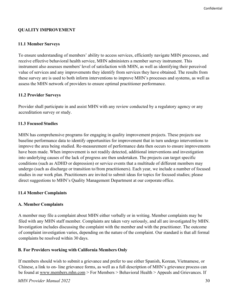#### **QUALITY IMPROVEMENT**

#### <span id="page-29-0"></span>**11.1 Member Surveys**

To ensure understanding of members' ability to access services, efficiently navigate MHN processes, and receive effective behavioral health service, MHN administers a member survey instrument. This instrument also assesses members' level of satisfaction with MHN, as well as identifying their perceived value of services and any improvements they identify from services they have obtained. The results from these survey are is used to both inform interventions to improve MHN's processes and systems, as well as assess the MHN network of providers to ensure optimal practitioner performance.

#### **11.2 Provider Surveys**

Provider shall participate in and assist MHN with any review conducted by a regulatory agency or any accreditation survey or study.

#### <span id="page-29-1"></span>**11.3 Focused Studies**

MHN has comprehensive programs for engaging in quality improvement projects. These projects use baseline performance data to identify opportunities for improvement that in turn undergo interventions to improve the area being studied. Re-measurement of performance data then occurs to ensure improvements have been made. When improvement is not readily detected, additional interventions and investigation into underlying causes of the lack of progress are then undertaken. The projects can target specific conditions (such as ADHD or depression) or service events that a multitude of different members may undergo (such as discharge or transition to/from practitioners). Each year, we include a number of focused studies in our work plan. Practitioners are invited to submit ideas for topics for focused studies; please direct suggestions to MHN's Quality Management Department at our corporate office.

#### <span id="page-29-2"></span>**11.4 Member Complaints**

#### <span id="page-29-3"></span>**A. Member Complaints**

A member may file a complaint about MHN either verbally or in writing. Member complaints may be filed with any MHN staff member. Complaints are taken very seriously, and all are investigated by MHN. Investigation includes discussing the complaint with the member and with the practitioner. The outcome of complaint investigation varies, depending on the nature of the complaint. Our standard is that all formal complaints be resolved within 30 days.

#### <span id="page-29-4"></span>**B. For Providers working with California Members Only**

If members should wish to submit a grievance and prefer to use either Spanish, Korean, Vietnamese, or Chinese, a link to on- line grievance forms, as well as a full description of MHN's grievance process can be found at [www.members.mhn.com](http://www.members.mhn.com/) > For Members > Behavioral Health > Appeals and Grievances. If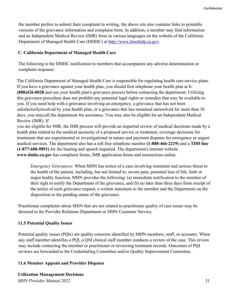the member prefers to submit their complaint in writing, the above site also contains links to printable versions of the grievance information and complaint form. In addition, a member may find information and an Independent Medical Review (IMR) form in various languages on the website of the California Department of Managed Health Care (DMHC) at [http://www.hmohelp.ca.gov.](http://www.hmohelp.ca.gov/)

#### <span id="page-30-0"></span>**C. California Department of Managed Health Care**

The following is the DMHC notification to members that accompanies any adverse determination or complaint response:

The California Department of Managed Health Care is responsible for regulating health care service plans. If you have a grievance against your health plan, you should first telephone your health plan at **1- (888)426-0028** and use your health plan's grievance process before contacting the department. Utilizing this grievance procedure does not prohibit any potential legal rights or remedies that may be available to you. If you need help with a grievance involving an emergency, a grievance that has not been satisfactorilyresolved by your health plan, or a grievance that has remained unresolved for more than 30 days, you maycall the department for assistance. You may also be eligible for an Independent Medical Review (IMR). If

you are eligible for IMR, the IMR process will provide an impartial review of medical decisions made by a health plan related to the medical necessity of a proposed service or treatment, coverage decisions for treatments that are experimental or investigational in nature and payment disputes for emergency or urgent medical services. The department also has a toll-free telephone number **(1-888-466-2219)** and a **TDD line (1-877-688-9891)** for the hearing and speech impaired. The department's internet website **[www.dmhc.ca.gov](http://www.dmhc.ca.gov/)** has complaint forms, IMR application forms and instructions online.

*Emergency Grievances*: When MHN has notice of a case involving imminent and serious threat to the health of the patient, including, but not limited to, severe pain, potential loss of life, limb or major bodily function, MHN provides the following: (a) immediate notification to the member of their right to notify the Department of the grievance, and (b) no later than three days from receipt of the notice of such grievance request, a written statement to the member and the Department on the disposition or the pending status of the grievance.

Practitioner complaints about MHN that are not related to practitioner quality of care issues may be directed to the Provider Relations Department or MHN Customer Service.

#### <span id="page-30-1"></span>**11.5 Potential Quality Issues**

Potential quality issues (PQIs) are quality concerns identified by MHN members, staff, or accounts. When any staff member identifies a PQI, a QM clinical staff member conducts a review of the case. This review may include contacting the member or practitioner or reviewing treatment records. Outcomes of PQI reviews are forwarded to the Credentialing Committee and/or Quality Improvement Committee.

#### **11.6 Member Appeals and Provider Disputes**

*MHN Provider Manual 2022* 31 **Utilization Management Decisions**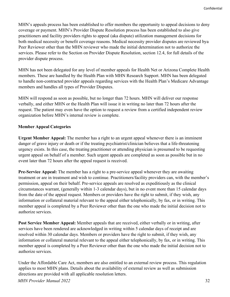MHN's appeals process has been established to offer members the opportunity to appeal decisions to deny coverage or payment. MHN's Provider Dispute Resolution process has been established to also give practitioners and facility providers rights to appeal (aka dispute) utilization management decisions for both medical necessity or benefit coverage reasons. Medical necessity provider disputes are reviewed bya Peer Reviewer other than the MHN reviewer who made the initial determination not to authorize the services. Please refer to the Section on Provider Dispute Resolution, section 12.4, for full details of the provider dispute process.

MHN has not been delegated for any level of member appeals for Health Net or Arizona Complete Health members. These are handled by the Health Plan with MHN Research Support. MHN has been delegated to handle non-contracted provider appeals regarding services with the Health Plan's Medicare Advantage members and handles all types of Provider Disputes.

MHN will respond as soon as possible, but no longer than 72 hours. MHN will deliver our response verbally, and either MHN or the Health Plan will issue it in writing no later than 72 hours after the request. The patient may even have the option to request a review from a certified independent review organization before MHN's internal review is complete.

#### **Member Appeal Categories**

**Urgent Member Appeal:** The member has a right to an urgent appeal whenever there is an imminent danger of grave injury or death or if the treating psychiatrist/clinician believes that a life-threatening urgency exists. In this case, the treating practitioner or attending physician is presumed to be requesting urgent appeal on behalf of a member. Such urgent appeals are completed as soon as possible but in no event later than 72 hours after the appeal request is received.

**Pre-Service Appeal:** The member has a right to a pre-service appeal whenever they are awaiting treatment or are in treatment and wish to continue. Practitioners/facility providers can, with the member's permission, appeal on their behalf. Pre-service appeals are resolved as expeditiously as the clinical circumstances warrant, (generally within 1-3 calendar days), but in no event more than 15 calendar days from the date of the appeal request. Members or providers have the right to submit, if they wish, any information or collateral material relevant to the appeal either telephonically, by fax, or in writing. This member appeal is completed by a Peer Reviewer other than the one who made the initial decision not to authorize services.

**Post Service Member Appeal:** Member appeals that are received, either verbally or in writing, after services have been rendered are acknowledged in writing within 5 calendar days of receipt and are resolved within 30 calendar days. Members or providers have the right to submit, if they wish, any information or collateral material relevant to the appeal either telephonically, by fax, or in writing. This member appeal is completed by a Peer Reviewer other than the one who made the initial decision not to authorize services.

Under the Affordable Care Act, members are also entitled to an external review process. This regulation applies to most MHN plans. Details about the availability of external review as well as submission directions are provided with all applicable resolution letters.

*MHN Provider Manual 2022* 32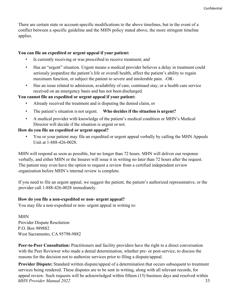There are certain state or account-specific modifications to the above timelines, but in the event of a conflict between a specific guideline and the MHN policy stated above, the more stringent timeline applies.

#### **You can file an expedited or urgent appeal if your patient:**

- Is currently receiving or was prescribed to receive treatment; and
- Has an "urgent" situation. Urgent means a medical provider believes a delay in treatment could seriously jeopardize the patient's life or overall health, affect the patient's ability to regain maximum function, or subject the patient to severe and intolerable pain. -OR-
- Has an issue related to admission, availability of care, continued stay, or a health care service received on an emergency basis and has not been discharged.

#### **You cannot file an expedited or urgent appeal if your patient:**

- Already received the treatment and is disputing the denied claim, or
- The patient's situation is not urgent. **Who decides if the situation is urgent?**
- A medical provider with knowledge of the patient's medical condition or MHN's Medical Director will decide if the situation is urgent or not.

#### **How do you file an expedited or urgent appeal?**

• You or your patient may file an expedited or urgent appeal verbally by calling the MHN Appeals Unit at 1-888-426-0028.

MHN will respond as soon as possible, but no longer than 72 hours. MHN will deliver our response verbally, and either MHN or the Insurer will issue it in writing no later than 72 hours after the request. The patient may even have the option to request a review from a certified independent review organization before MHN's internal review is complete.

If you need to file an urgent appeal, we suggest the patient, the patient's authorized representative, or the provider call 1-888-426-0028 immediately.

#### **How do you file a non-expedited or non- urgent appeal?**

You may file a non-expedited or non- urgent appeal in writing to:

MHN Provider Dispute Resolution P.O. Box 989882 West Sacramento, CA 95798-9882

Peer-to-Peer Consultation: Practitioners and facility providers have the right to a direct conversation with the Peer Reviewer who made a denial determination, whether pre- or post-service, to discuss the reasons for the decision not to authorize services prior to filing a dispute/appeal.

*MHN Provider Manual 2022* 33 **Provider Dispute:** Standard written dispute/appeal of a determination that occurs subsequent to treatment services being rendered. These disputes are to be sent in writing, along with all relevant records, for appeal review. Such requests will be acknowledged within fifteen (15) business days and resolved within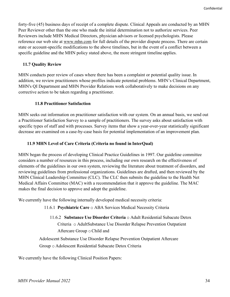forty-five (45) business days of receipt of a complete dispute. Clinical Appeals are conducted by an MHN Peer Reviewer other than the one who made the initial determination not to authorize services. Peer Reviewers include MHN Medical Directors, physician advisors or licensed psychologists. Please reference our web site at [www.mhn.com](http://www.mhn.com/) for full details of the provider dispute process. There are certain state or account-specific modifications to the above timelines, but in the event of a conflict between a specific guideline and the MHN policy stated above, the more stringent timeline applies.

#### <span id="page-33-0"></span> **11.7 Quality Review**

MHN conducts peer review of cases where there has been a complaint or potential quality issue. In addition, we review practitioners whose profiles indicate potential problems. MHN's Clinical Department, MHN's QI Department and MHN Provider Relations work collaboratively to make decisions on any corrective action to be taken regarding a practitioner.

#### **11.8 Practitioner Satisfaction**

<span id="page-33-1"></span>MHN seeks out information on practitioner satisfaction with our system. On an annual basis, we send out a Practitioner Satisfaction Survey to a sample of practitioners. The survey asks about satisfaction with specific types of staff and with processes. Survey items that show a year-over-year statistically significant decrease are examined on a case-by-case basis for potential implementation of an improvement plan.

#### **11.9 MHN Level of Care Criteria (Criteria no found in InterQual)**

MHN began the process of developing Clinical Practice Guidelines in 1997. Our guideline committee considers a number of resources in this process, including our own research on the effectiveness of elements of the guidelines in our own system, reviewing the literature about treatment of disorders, and reviewing guidelines from professional organizations. Guidelines are drafted, and then reviewed by the MHN Clinical Leadership Committee (CLC). The CLC then submits the guideline to the Health Net Medical Affairs Committee (MAC) with a recommendation that it approve the guideline. The MAC makes the final decision to approve and adopt the guideline.

We currently have the following internally developed medical necessity criteria:

11.6.1 **Psychiatric Care** o ABA Services Medical Necessity Criteria

11.6.2 **Substance Use Disorder Criteria** o Adult Residential Subacute Detox Criteria o AdultSubstance Use Disorder Relapse Prevention Outpatient Aftercare Group oChild and

Adolescent Substance Use Disorder Relapse Prevention Outpatient Aftercare Group o Adolescent Residential Subacute Detox Criteria

We currently have the following Clinical Position Papers: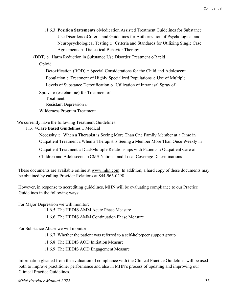11.6.3 **Position Statements** oMedication Assisted Treatment Guidelines for Substance Use Disorders oCriteria and Guidelines for Authorization of Psychological and Neuropsychological Testing o Criteria and Standards for Utilizing Single Case Agreements o Dialectical Behavior Therapy

 $(DBT)$   $\circ$  Harm Reduction in Substance Use Disorder Treatment  $\circ$  Rapid

Opioid

Detoxification (ROD) o Special Considerations for the Child and Adolescent Population o Treatment of Highly Specialized Populations o Use of Multiple Levels of Substance Detoxification o Utilization of Intranasal Spray of Spravato (esketamine) for Treatment of

Treatment-Resistant Depression o Wilderness Program Treatment

We currently have the following Treatment Guidelines:

#### 11.6.4**Care Based Guidelines** o Medical

Necessity  $\circ$  When a Therapist is Seeing More Than One Family Member at a Time in Outpatient Treatment oWhen a Therapist is Seeing a Member More Than Once Weekly in Outpatient Treatment o Dual/Multiple Relationships with Patients o Outpatient Care of Children and Adolescents oCMS National and Local Coverage Determinations

These documents are available online at [www.mhn.com.](http://www.mhn.com/) In addition, a hard copy of these documents may be obtained by calling Provider Relations at 844-966-0298.

However, in response to accrediting guidelines, MHN will be evaluating compliance to our Practice Guidelines in the following ways:

For Major Depression we will monitor:

11.6.5 The HEDIS AMM Acute Phase Measure

11.6.6 The HEDIS AMM Continuation Phase Measure

For Substance Abuse we will monitor:

- 11.6.7 Whether the patient was referred to a self-help/peer support group
- 11.6.8 The HEDIS AOD Initiation Measure
- 11.6.9 The HEDIS AOD Engagement Measure

Information gleaned from the evaluation of compliance with the Clinical Practice Guidelines will be used both to improve practitioner performance and also in MHN's process of updating and improving our Clinical Practice Guidelines.

*MHN Provider Manual 2022* 35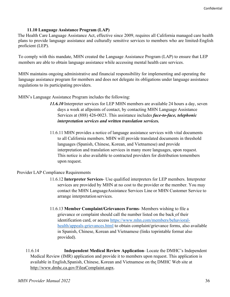#### **11.10 Language Assistance Program (LAP)**

<span id="page-35-0"></span>The Health Care Language Assistance Act, effective since 2009, requires all California managed care health plans to provide language assistance and culturally sensitive services to members who are limited-English proficient (LEP).

To comply with this mandate, MHN created the Language Assistance Program (LAP) to ensure that LEP members are able to obtain language assistance while accessing mental health care services.

MHN maintains ongoing administrative and financial responsibility for implementing and operating the language assistance program for members and does not delegate its obligations under language assistance regulations to its participating providers.

MHN's Language Assistance Program includes the following:

- *11.6.10* Interpreter services for LEP MHN members are available 24 hours a day, seven days a week at allpoints of contact, by contacting MHN Language Assistance Services at (888) 426-0023. This assistance includes *face-to-face, telephonic interpretation services and written translation services.*
- 11.6.11 MHN provides a notice of language assistance services with vital documents to all California members. MHN will provide translated documents in threshold languages (Spanish, Chinese, Korean, and Vietnamese) and provide interpretation and translation services in many more languages, upon request. This notice is also available to contracted providers for distribution tomembers upon request.

#### Provider LAP Compliance Requirements

- 11.6.12 **Interpreter Services** Use qualified interpreters for LEP members. Interpreter services are provided by MHN at no cost to the provider or the member. You may contact the MHN LanguageAssistance Services Line or MHN Customer Service to arrange interpretation services.
- 11.6.13 **Member Complaint/Grievances Forms** Members wishing to file a grievance or complaint should call the number listed on the back of their identification card, or access https:/[/www.mhn.com/members/behavioral](http://www.mhn.com/members/behavioral-health/appeals-grievances.html)[health/appeals-grievances.html](http://www.mhn.com/members/behavioral-health/appeals-grievances.html) to obtain complaint/grievance forms, also available in Spanish, Chinese, Korean and Vietnamese (links toprintable format also provided).

11.6.14 **Independent Medical Review Application**- Locate the DMHC's Independent Medical Review (IMR) application and provide it to members upon request. This application is available in English,Spanish, Chinese, Korean and Vietnamese on the DMHC Web site at [http://www.dmhc.ca.gov/FileaComplaint.aspx.](http://www.dmhc.ca.gov/FileaComplaint.aspx)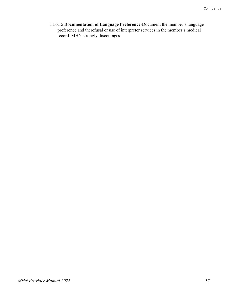11.6.15 **Documentation of Language Preference**-Document the member's language preference and therefusal or use of interpreter services in the member's medical record. MHN strongly discourages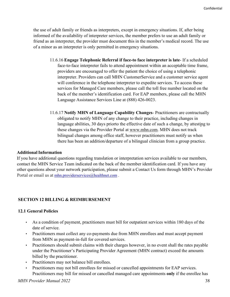the use of adult family or friends as interpreters, except in emergency situations. If, after being informed of the availability of interpreter services, the member prefers to use an adult family or friend as an interpreter, the provider must document this in the member's medical record. The use of a minor as an interpreter is only permitted in emergency situations.

- 11.6.16 **Engage Telephonic Referral if face-to face interpreter is late** If a scheduled face-to-face interpreter fails to attend appointment within an acceptable time frame, providers are encouraged to offer the patient the choice of using a telephonic interpreter. Providers can call MHN CustomerService and a customer service agent will conference in the telephone interpreter to expedite services. To access these services for Managed Care members, please call the toll free number located on the back of the member's identification card. For EAP members, please call the MHN Language Assistance Services Line at (888) 426-0023.
- 11.6.17 **Notify MHN of Language Capability Changes** Practitioners are contractually obligated to notify MHN of any change to their practice, including changes in language abilities, 30 days priorto the effective date of such a change, by attesting to these changes via the Provider Portal at [www.mhn.com.](http://www.mhn.com/) MHN does not track bilingual changes among office staff, however practitioners must notify us when there has been an addition/departure of a bilingual clinician from a group practice.

#### **AdditionalInformation**

If you have additional questions regarding translation or interpretation services available to our members, contact the MHN Service Team indicated on the back of the member identification card. If you have any other questions about your network participation, please submit a Contact Us form through MHN's Provider Portal or email us at [mhn.providerservices@healthnet.com](mailto:mhn.providerservices@healthnet.com).

#### <span id="page-37-0"></span>**SECTION 12 BILLING & REIMBURSEMENT**

#### <span id="page-37-1"></span>**12.1 General Policies**

- As a condition of payment, practitioners must bill for outpatient services within 180 days of the date of service.
- Practitioners must collect any co-payments due from MHN enrollees and must accept payment from MHN as payment-in-full for covered services.
- Practitioners should submit claims with their charges however, in no event shall the rates payable under the Practitioner's Participating Provider Agreement (MHN contract) exceed the amounts billed by the practitioner.
- Practitioners may not balance bill enrollees.
- Practitioners may not bill enrollees for missed or cancelled appointments for EAP services. Practitioners may bill for missed or cancelled managed care appointments **only** if the enrollee has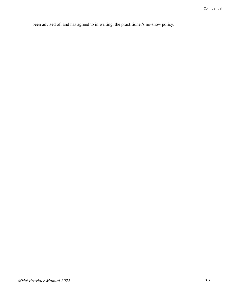been advised of, and has agreed to in writing, the practitioner's no-show policy.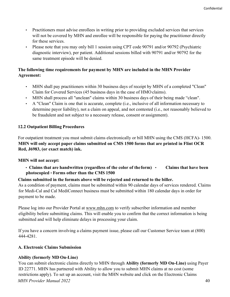- Practitioners must advise enrollees in writing prior to providing excluded services that services will not be covered by MHN and enrollee will be responsible for paying the practitioner directly for these services.
- Please note that you may only bill 1 session using CPT code 90791 and/or 90792 (Psychiatric diagnostic interview), per patient. Additional sessions billed with 90791 and/or 90792 for the same treatment episode will be denied.

#### **The following time requirements for payment by MHN are included in the MHN Provider Agreement:**

- MHN shall pay practitioners within 30 business days of receipt by MHN of a completed "Clean" Claim for Covered Services (45 business days in the case of HMO claims).
- MHN shall process all "unclean" claims within 30 business days of their being made "clean".
- A "Clean" Claim is one that is accurate, complete (i.e., inclusive of all information necessary to determine payor liability), not a claim on appeal, and not contested (i.e., not reasonably believed to be fraudulent and not subject to a necessary release, consent or assignment).

#### <span id="page-39-0"></span>**12.2 Outpatient Billing Procedures**

For outpatient treatment you must submit claims electronically or bill MHN using the CMS (HCFA)- 1500. **MHN will only accept paper claims submitted on CMS 1500 forms that are printed in Flint OCR Red, J6983, (or exact match) ink.**

#### **MHN will not accept:**

• **Claims that are handwritten (regardless of the color of the form)** • **Claims that have been photocopied** • **Forms other than the CMS 1500**

#### **Claims submitted in the formats above will be rejected and returned to the biller.**

As a condition of payment, claims must be submitted within 90 calendar days of services rendered. Claims for Medi-Cal and Cal MediConnect business must be submitted within 180 calendar days in order for payment to be made.

Please log into our Provider Portal at [www.mhn.com](http://www.mhn.com/) to verify subscriber information and member eligibility before submitting claims. This will enable you to confirm that the correct information is being submitted and will help eliminate delays in processing your claim.

If you have a concern involving a claims payment issue, please call our Customer Service team at (800) 444-4281.

#### **A. Electronic Claims Submission**

#### **Ability (formerly MD On-Line)**

*MHN Provider Manual 2022* 40 You can submit electronic claims directly to MHN through **Ability (formerly MD On-Line)** using Payer ID 22771. MHN has partnered with Ability to allow you to submit MHN claims at no cost (some restrictions apply). To set up an account, visit the MHN website and click on the Electronic Claims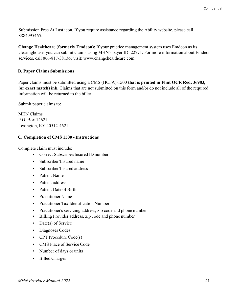Submission Free At Last icon. If you require assistance regarding the Ability website, please call 8884995465.

**Change Healthcare (formerly Emdeon):** If your practice management system uses Emdeon as its clearinghouse, you can submit claims using MHN's payer ID: 22771. For more information about Emdeon services, call 866-817-3813or visit: [www.changehealthcare.com.](http://www.changehealthcare.com/)

#### <span id="page-40-0"></span>**B. Paper Claims Submissions**

Paper claims must be submitted using a CMS (HCFA)-1500 **that is printed in Flint OCR Red, J6983, (or exact match) ink.** Claims that are not submitted on this form and/or do not include all of the required information will be returned to the biller.

Submit paper claims to:

MHN Claims P.O. Box 14621 Lexington, KY 40512-4621

#### **C. Completion of CMS 1500 - Instructions**

Complete claim must include:

- Correct Subscriber/Insured ID number
- Subscriber/Insured name
- Subscriber/Insured address
- Patient Name
- Patient address
- Patient Date of Birth
- Practitioner Name
- Practitioner Tax Identification Number
- Practitioner's servicing address, zip code and phone number
- Billing Provider address, zip code and phone number
- Date(s) of Service
- Diagnoses Codes
- CPT Procedure Code(s)
- CMS Place of Service Code
- Number of days or units
- Billed Charges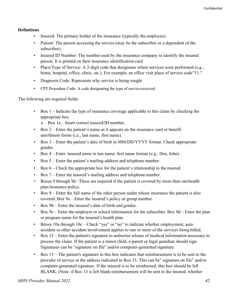#### **Definitions**

- Insured: The primary holder of the insurance (typically the employee).
- Patient: The person accessing the service (may be the subscriber or a dependent of the subscriber).
- Insured ID Number: The number used by the insurance company to identify the insured person. It is printed on their insurance identification card.
- Place/Type of Service: A 2-digit code that designates where services were performed (e.g., home, hospital, office, clinic, etc.). For example, an office visit place of service code "11."
- Diagnosis Code: Represents why service is being sought
- CPT Procedure Code: A code designating the type of service received.

The following are required fields:

- Box 1 Indicate the type of insurance coverage applicable to this claim by checking the appropriate box.
	- o Box 1a Insert correct insured/ID number.
- $\cdot$  Box 2 Enter the patient's name as it appears on the insurance card or benefit enrollment forms (i.e., last name, first name).
- Box 3 Enter the patient's date of birth in MM/DD/YYYY format. Check appropriate gender.
- Box  $4$  Enter /insured name in last name, first name format (e.g., Doe, John).
- Box 5 Enter the patient's mailing address and telephone number.
- Box 6 Check the appropriate box for the patient's relationship to the insured.
- Box 7 Enter the insured's mailing address and telephone number.
- Boxes 9 through 9d –These are required if the patient is covered by more than onehealth plan/insurance policy.
- Box 9 Enter the full name of the other person under whose insurance the patient is also covered. Box 9a – Enter the insured's policy or group number.
- Box 9b Enter the insured's date of birth and gender.
- Box 9c Enter the employer or school information for the subscriber. Box 9d Enter the plan or program name for the insured's health plan.
- Boxes 10a through 10c Check "yes" or "no" to indicate whether employment, auto accident or other accident involvement applies to one or more of the services being billed.
- Box 12 Enter the patient's signature to authorize release of medical information necessary to process the claim. If the patient is a minor child, a parent or legal guardian should sign. Signatures can be "signature on file" and/or computer-generated signature.
- Box 13 The patient's signature in this box indicates that reimbursement is to be sent to the provider of service at the address indicated in Box 33. This can be" signature on file" and/or computer-generated signature. If the insured is to be reimbursed, this box should be left BLANK. (Note: if Box 13 is left blank reimbursement will be sent to the insured, whether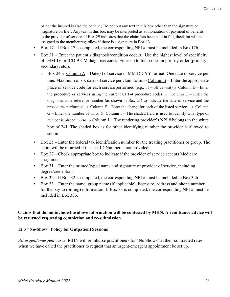or not the insured is also the patient.) Do not put any text in this box other than the signature or "signature on file". Any text in this box may be interpreted as authorization of payment of benefits to the provider of service. If Box 29 indicates that the claim has been paid in full, theclaim will be assigned to the member regardless if there is a signature in Box 13.

- Box 17 If Box 17 is completed, the corresponding NPI  $#$  must be included in Box 17b.
- Box 21 Enter the patient's diagnosis/condition code(s). Use the highest level of specificity of DSM-IV or ICD-9-CM diagnosis codes. Enter up to four codes in priority order (primary, secondary, etc.).
	- o Box 24  $\circ$  Column A Date(s) of service in MM DD YY format. One date of service per line. Maximum of six dates of service per claim form.  $\circ$  Column B – Enter the appropriate place of service code for each service performed (e.g.,  $11 =$  office visit)  $\circ$  Column D – Enter the procedure or services using the current CPT-4 procedure codes.  $\circ$  Column E – Enter the diagnosis code reference number (as shown in Box 21) to indicate the date of service and the procedures performed.  $\circ$  Column F – Enter the charge for each of the listed services.  $\circ$  Column  $G$  – Enter the number of units.  $\circ$  Column I – The shaded field is used to identify what type of number is placed in 24J.  $\circ$  Column J – The rendering provider's NPI # belongs in the white box of 24J. The shaded box is for other identifying number the provider is allowed to submit.
- Box 25 Enter the federal tax identification number for the treating practitioner or group. The claim will be returned if the Tax ID Number is not provided.
- Box 27 Check appropriate box to indicate if the provider of service accepts Medicare assignment.
- Box 31 Enter the printed/typed name and signature of provider of service, including degree/credentials.
- Box  $32 If Box 32$  is completed, the corresponding NPI # must be included in Box 32b.
- Box 33 Enter the name, group name (if applicable), licensure, address and phone number for the pay-to (billing) information. If Box 33 is completed, the corresponding NPI # must be included in Box 33b.

**Claims that do not include the above information will be contested by MHN. A remittance advice will be returned requesting completion and re-submission.**

#### <span id="page-42-0"></span>**12.3 "No-Show" Policy for Outpatient Sessions**

*All urgent/emergent cases:* MHN will reimburse practitioners for "No Shows" at their contracted rates when we have called the practitioner to request that an urgent/emergent appointment be set up.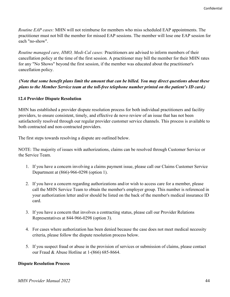*Routine EAP cases:* MHN will not reimburse for members who miss scheduled EAP appointments. The practitioner must not bill the member for missed EAP sessions. The member will lose one EAP session for each "no-show".

*Routine managed care, HMO, Medi-Cal cases:* Practitioners are advised to inform members of their cancellation policy at the time of the first session. A practitioner may bill the member for their MHN rates for any "No Shows" beyond the first session, if the member was educated about the practitioner's cancellation policy.

#### *(Note that some benefit plans limit the amount that can be billed. You may direct questions about these plans to the Member Service team at the toll-free telephone number printed on the patient's ID card.)*

#### <span id="page-43-0"></span>**12.4 Provider Dispute Resolution**

MHN has established a provider dispute resolution process for both individual practitioners and facility providers, to ensure consistent, timely, and effective de novo review of an issue that has not been satisfactorily resolved through our regular provider customer service channels. This process is available to both contracted and non-contracted providers.

The first steps towards resolving a dispute are outlined below.

NOTE: The majority of issues with authorizations, claims can be resolved through Customer Service or the Service Team.

- 1. If you have a concern involving a claims payment issue, please call our Claims Customer Service Department at (866)-966-0298 (option 1).
- 2. If you have a concern regarding authorizations and/or wish to access care for a member, please call the MHN Service Team to obtain the member's employer group. This number is referenced in your authorization letter and/or should be listed on the back of the member's medical insurance ID card.
- 3. If you have a concern that involves a contracting status, please call our Provider Relations Representatives at 844-966-0298 (option 3).
- 4. For cases where authorization has been denied because the case does not meet medical necessity criteria, please follow the dispute resolution process below.
- 5. If you suspect fraud or abuse in the provision of services or submission of claims, please contact our Fraud & Abuse Hotline at 1-(866) 685-8664.

#### **Dispute Resolution Process**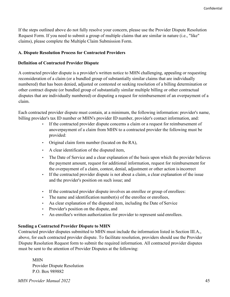If the steps outlined above do not fully resolve your concern, please use the Provider Dispute Resolution Request Form. If you need to submit a group of multiple claims that are similar in nature (i.e., "like" claims), please complete the Multiple Claim Submission Form.

#### **A. Dispute Resolution Process for Contracted Providers**

#### **Definition of Contracted Provider Dispute**

A contracted provider dispute is a provider's written notice to MHN challenging, appealing or requesting reconsideration of a claim (or a bundled group of substantially similar claims that are individually numbered) that has been denied, adjusted or contested or seeking resolution of a billing determination or other contract dispute (or bundled group of substantially similar multiple billing or other contractual disputes that are individually numbered) or disputing a request for reimbursement of an overpayment of a claim.

Each contracted provider dispute must contain, at a minimum, the following information: provider's name, billing provider's tax ID number or MHN's provider ID number, provider's contact information, and:

- If the contracted provider dispute concerns a claim or a request for reimbursement of anoverpayment of a claim from MHN to a contracted provider the following must be provided:
- Original claim form number (located on the RA),
- A clear identification of the disputed item,
- The Date of Service and a clear explanation of the basis upon which the provider believes the payment amount, request for additional information, request for reimbursement for the overpayment of a claim, contest, denial, adjustment or other action isincorrect
- If the contracted provider dispute is not about a claim, a clear explanation of the issue and the provider's position on such issue; and
- If the contracted provider dispute involves an enrollee or group of enrollees:
- The name and identification number(s) of the enrollee or enrollees,
- Aa clear explanation of the disputed item, including the Date of Service
- Provider's position on the dispute, and
- An enrollee's written authorization for provider to represent said enrollees.

#### **Sending a Contracted Provider Dispute to MHN**

Contracted provider disputes submitted to MHN must include the information listed in Section III.A., above, for each contracted provider dispute. To facilitate resolution, providers should use the Provider Dispute Resolution Request form to submit the required information. All contracted provider disputes must be sent to the attention of Provider Disputes at the following:

MHN Provider Dispute Resolution P.O. Box 989882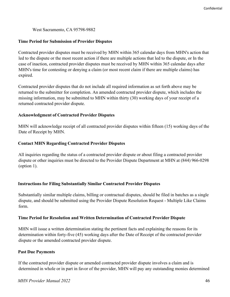West Sacramento, CA 95798-9882

#### **Time Period for Submission of Provider Disputes**

Contracted provider disputes must be received by MHN within 365 calendar days from MHN's action that led to the dispute or the most recent action if there are multiple actions that led to the dispute, or In the case of inaction, contracted provider disputes must be received by MHN within 365 calendar days after MHN's time for contesting or denying a claim (or most recent claim if there are multiple claims) has expired.

Contracted provider disputes that do not include all required information as set forth above may be returned to the submitter for completion. An amended contracted provider dispute, which includes the missing information, may be submitted to MHN within thirty (30) working days of your receipt of a returned contracted provider dispute.

#### **Acknowledgment of Contracted Provider Disputes**

MHN will acknowledge receipt of all contracted provider disputes within fifteen (15) working days of the Date of Receipt by MHN.

#### **Contact MHN Regarding Contracted Provider Disputes**

All inquiries regarding the status of a contracted provider dispute or about filing a contracted provider dispute or other inquiries must be directed to the Provider Dispute Department at MHN at (844) 966-0298 (option 1).

#### **Instructions for Filing Substantially Similar Contracted Provider Disputes**

Substantially similar multiple claims, billing or contractual disputes, should be filed in batches as a single dispute, and should be submitted using the Provider Dispute Resolution Request - Multiple Like Claims form.

#### **Time Period for Resolution and Written Determination of Contracted Provider Dispute**

MHN will issue a written determination stating the pertinent facts and explaining the reasons for its determination within forty-five (45) working days after the Date of Receipt of the contracted provider dispute or the amended contracted provider dispute.

#### **Past Due Payments**

If the contracted provider dispute or amended contracted provider dispute involves a claim and is determined in whole or in part in favor of the provider, MHN will pay any outstanding monies determined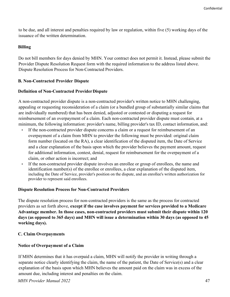to be due, and all interest and penalties required by law or regulation, within five (5) working days of the issuance of the written determination.

#### **Billing**

Do not bill members for days denied by MHN. Your contract does not permit it. Instead, please submit the Provider Dispute Resolution Request form with the required information to the address listed above. Dispute Resolution Process for Non-Contracted Providers.

#### **B. Non-Contracted Provider Dispute**

#### **Definition of Non-Contracted ProviderDispute**

A non-contracted provider dispute is a non-contracted provider's written notice to MHN challenging, appealing or requesting reconsideration of a claim (or a bundled group of substantially similar claims that are individually numbered) that has been denied, adjusted or contested or disputing a request for reimbursement of an overpayment of a claim. Each non-contracted provider dispute must contain, at a minimum, the following information: provider's name, billing provider's tax ID, contact information, and:

- If the non-contracted provider dispute concerns a claim or a request for reimbursement of an overpayment of a claim from MHN to provider the following must be provided: original claim form number (located on the RA), a clear identification of the disputed item, the Date of Service and a clear explanation of the basis upon which the provider believes the payment amount, request for additional information, contest, denial, request for reimbursement for the overpayment of a claim, or other action is incorrect; and
- If the non-contracted provider dispute involves an enrollee or group of enrollees, the name and identification number(s) of the enrollee or enrollees, a clear explanation of the disputed item, including the Date of Service, provider's position on the dispute, and an enrollee's written authorization for provider to represent said enrollees.

#### **Dispute Resolution Process for Non-Contracted Providers**

The dispute resolution process for non-contracted providers is the same as the process for contracted providers as set forth above, **except if the case involves payment for services provided to a Medicare Advantage member. In those cases, non-contracted providers must submit their dispute within 120 days (as opposed to 365 days) and MHN will issue a determination within 30 days (as opposed to 45 working days).**

#### <span id="page-46-0"></span>**C. Claim Overpayments**

#### **Notice of Overpayment of a Claim**

If MHN determines that it has overpaid a claim, MHN will notify the provider in writing through a separate notice clearly identifying the claim, the name of the patient, the Date of Service(s) and a clear explanation of the basis upon which MHN believes the amount paid on the claim was in excess of the amount due, including interest and penalties on the claim.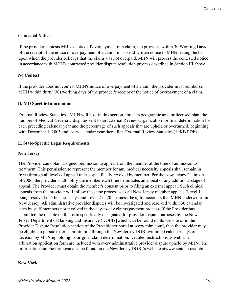#### **Contested Notice**

If the provider contests MHN's notice of overpayment of a claim, the provider, within 30 Working Days of the receipt of the notice of overpayment of a claim, must send written notice to MHN stating the basis upon which the provider believes that the claim was not overpaid. MHN will process the contested notice in accordance with MHN's contracted provider dispute resolution process described in Section III above.

#### **No Contest**

If the provider does not contest MHN's notice of overpayment of a claim, the provider must reimburse MHN within thirty (30) working days of the provider's receipt of the notice of overpayment of a claim.

#### <span id="page-47-0"></span>**D. MD Specific Information**

External Review Statistics - MHN will post in this section, for each geographic area or licensed plan, the number of Medical Necessity disputes sent to an External Review Organization for final determination for each preceding calendar year and the percentage of such appeals that are upheld or overturned, beginning with December 1, 2005 and every calendar year thereafter. External Review Statistics (19KB PDF)

#### **E. State-Specific Legal Requirements**

#### **New Jersey**

The Provider can obtain a signed permission to appeal from the member at the time of admission to treatment. This permission to represent the member for any medical necessity appeals shall remain in force through all levels of appeal unless specifically revoked by member. Per the New Jersey Claims Act of 2006, the provider shall notify the member each time he initiates an appeal or any additional stage of appeal. The Provider must obtain the member's consent prior to filing an external appeal. Such clinical appeals from the provider will follow the same processes as all New Jersey member appeals (Level 1 being resolved in 5 business days and Level 2 in 20 business days) for accounts that MHN underwrites in New Jersey. All administrative provider disputes will be investigated and resolved within 30 calendar days by staff members not involved in the day-to-day claims payment process. If the Provider has submitted the dispute on the form specifically designated for provider dispute purposes by the New Jersey Department of Banking and Insurance (DOBI) [which can be found on its website or in the Provider Dispute Resolution section of the Practitioner portal at [www.mhn.com\]](http://www.mhn.com/), then the provider may be eligible to pursue external arbitration through the New Jersey DOBI within 90 calendar days of a decision by MHN upholding its original claim determination. Detailed instructions as well as an arbitration application form are included with every administrative provider dispute upheld by MHN. The information and the form can also be found on the New Jersey DOBI's website a[twww.state.nj.us/dobi.](http://www.state.nj.us/dobi)

#### **New York**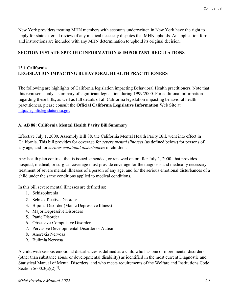New York providers treating MHN members with accounts underwritten in New York have the right to apply for state external review of any medical necessity disputes that MHN upholds. An application form and instructions are included with any MHN determination to uphold its original decision.

#### <span id="page-48-0"></span>**SECTION 13 STATE-SPECIFIC INFORMATION & IMPORTANT REGULATIONS**

#### <span id="page-48-1"></span>**13.1 California LEGISLATION IMPACTING BEHAVIORAL HEALTH PRACTITIONERS**

The following are highlights of California legislation impacting Behavioral Health practitioners. Note that this represents only a summary of significant legislation during 1999/2000. For additional information regarding these bills, as well as full details of all California legislation impacting behavioral health practitioners, please consult the **Official California Legislative Information** Web Site at [http://leginfo.legislature.ca.gov](http://leginfo.legislature.ca.gov/)

#### <span id="page-48-2"></span>**A. AB 88: California Mental Health Parity Bill Summary**

Effective July 1, 2000, Assembly Bill 88, the California Mental Health Parity Bill, went into effect in California. This bill provides for coverage for *severe mental illnesses* (as defined below) for persons of any age, and for *serious emotional disturbances* of children.

Any health plan contract that is issued, amended, or renewed on or after July 1, 2000, that provides hospital, medical, or surgical coverage must provide coverage for the diagnosis and medically necessary treatment of severe mental illnesses of a person of any age, and for the serious emotional disturbances of a child under the same conditions applied to medical conditions.

In this bill severe mental illnesses are defined as:

- 1. Schizophrenia
- 2. Schizoaffective Disorder
- 3. Bipolar Disorder (Manic Depressive Illness)
- 4. Major Depressive Disorders
- 5. Panic Disorder
- 6. Obsessive-Compulsive Disorder
- 7. Pervasive Developmental Disorder or Autism
- 8. Anorexia Nervosa
- 9. Bulimia Nervosa

A child with serious emotional disturbances is defined as a child who has one or more mental disorders (other than substance abuse or developmental disability) as identified in the most current Diagnostic and Statistical Manual of Mental Disorders, and who meets requirements of the Welfare and Institutions Code Section 5600.3(a)(2)<sup>[1]</sup>.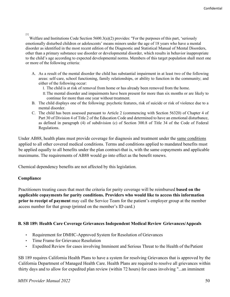[1]

Welfare and Institutions Code Section  $5600.3(a)(2)$  provides: "For the purposes of this part, 'seriously emotionally disturbed children or adolescents' means minors under the age of 18 years who have a mental disorder as identified in the most recent edition of the Diagnostic and Statistical Manual of Mental Disorders, other than a primary substance use disorder or developmental disorder, which results in behavior inappropriate to the child's age according to expected developmental norms. Members of this target population shall meet one or more of the following criteria:

- A. As a result of the mental disorder the child has substantial impairment in at least two of the following areas: self-care, school functioning, family relationships, or ability to function in the community; and either of the following occur:
	- I. The child is at risk of removal from home or has already been removed from the home.
	- II.The mental disorder and impairments have been present for more than six months or are likely to continue for more than one year without treatment.
- B. The child displays one of the following: psychotic features, risk of suicide or risk of violence due to a mental disorder.
- C. The child has been assessed pursuant to Article 2 (commencing with Section 56320) of Chapter 4 of Part 30 of Division 4 of Title 2 of the Education Code and determined to have an emotional disturbance, as defined in paragraph (4) of subdivision (c) of Section 300.8 of Title 34 of the Code of Federal Regulations.

Under AB88, health plans must provide coverage for diagnosis and treatment under the same conditions applied to all other covered medical conditions. Terms and conditions applied to mandated benefits must be applied equally to all benefits under the plan contract-that is, with the same copayments and applicable maximums. The requirements of AB88 would go into effect as the benefit renews.

Chemical dependency benefits are not affected by this legislation.

#### **Compliance**

Practitioners treating cases that meet the criteria for parity coverage will be reimbursed **based on the applicable copayments for parity conditions. Providers who would like to access this information prior to receipt of payment** may call the Service Team for the patient's employer group at the member access number for that group (printed on the member's ID card.)

#### **B. SB 189: Health Care Coverage Grievances Independent Medical Review Grievances/Appeals**

- Requirement for DMHC-Approved System for Resolution of Grievances
- Time Frame for Grievance Resolution
- Expedited Review for cases involving Imminent and Serious Threat to the Health of thePatient

SB 189 requires California Health Plans to have a system for resolving Grievances that is approved by the California Department of Managed Health Care. Health Plans are required to resolve all grievances within thirty days and to allow for expedited plan review (within 72 hours) for cases involving "...an imminent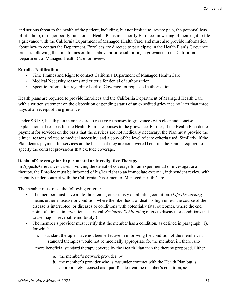and serious threat to the health of the patient, including, but not limited to, severe pain, the potential loss of life, limb, or major bodily function..." Health Plans must notify Enrollees in writing of their right to file a grievance with the California Department of Managed Health Care, and must also provide information about how to contact the Department. Enrollees are directed to participate in the Health Plan's Grievance process following the time frames outlined above prior to submitting a grievance to the California Department of Managed Health Care for review.

#### **Enrollee Notification**

- Time Frames and Right to contact California Department of Managed Health Care
- Medical Necessity reasons and criteria for denial of authorization
- Specific Information regarding Lack of Coverage for requested authorization

Health plans are required to provide Enrollees and the California Department of Managed Health Care with a written statement on the disposition or pending status of an expedited grievance no later than three days after receipt of the grievance.

Under SB189, health plan members are to receive responses to grievances with clear and concise explanations of reasons for the Health Plan's responses to the grievance. Further, if the Health Plan denies payment for services on the basis that the services are not medically necessary, the Plan must provide the clinical reasons related to medical necessity, and a copy of the level of care criteria used. Similarly, if the Plan denies payment for services on the basis that they are not covered benefits, the Plan is required to specify the contract provisions that exclude coverage.

#### **Denial of Coverage for Experimental or Investigative Therapy**

In Appeals/Grievances cases involving the denial of coverage for an experimental or investigational therapy, the Enrollee must be informed of his/her right to an immediate external, independent review with an entity under contract with the California Department of Managed Health Care.

The member must meet the following criteria:

- The member must have a life-threatening or seriously debilitating condition. (*Life-threatening* means either a disease or condition where the likelihood of death is high unless the course of the disease is interrupted, or diseases or conditions with potentially fatal outcomes, where the end point of clinical intervention is survival. *Seriously Debilitating* refers to diseases or conditions that cause major irreversible morbidity.)
- The member's provider must certify that the member has a condition, as defined in paragraph (1), for which
	- i. standard therapies have not been effective in improving the condition of the member, ii. standard therapies would not be medically appropriate for the member, iii. there isno

more beneficial standard therapy covered by the Health Plan than the therapy proposed. Either

- *a.* the member's network provider *or*
- *b.* the member's provider who is *not* under contract with the Health Plan but is appropriately licensed and qualified to treat the member's condition, *or*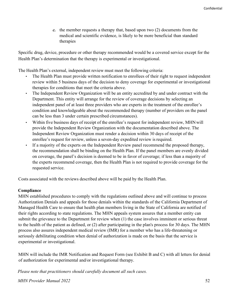*c.* the member requests a therapy that, based upon two (2) documents from the medical and scientific evidence, is likely to be more beneficial than standard therapies

Specific drug, device, procedure or other therapy recommended would be a covered service except for the Health Plan's determination that the therapy is experimental or investigational.

The Health Plan's external, independent review must meet the following criteria:

- The Health Plan must provide written notification to enrollees of their right to request independent review within 5 business days of the decision to deny coverage for experimental or investigational therapies for conditions that meet the criteria above.
- The Independent Review Organization will be an entity accredited by and under contract with the Department. This entity will arrange for the review of coverage decisions by selecting an independent panel of at least three providers who are experts in the treatment of the enrollee's condition and knowledgeable about the recommended therapy (number of providers on the panel can be less than 3 under certain prescribed circumstances).
- Within five business days of receipt of the enrollee's request for independent review, MHN will provide the Independent Review Organization with the documentation described above. The Independent Review Organization must render a decision within 30 days of receipt of the enrollee's request for review, unless a seven-day expedited review is required.
- If a majority of the experts on the Independent Review panel recommend the proposed therapy, the recommendation shall be binding on the Health Plan. If the panel members are evenly divided on coverage, the panel's decision is deemed to be in favor of coverage; if less than a majority of the experts recommend coverage, then the Health Plan is not required to provide coverage for the requested service.

Costs associated with the reviews described above will be paid by the Health Plan.

#### **Compliance**

MHN established procedures to comply with the regulations outlined above and will continue to process Authorization Denials and appeals for those denials within the standards of the California Department of Managed Health Care to ensure that health plan members living in the State of California are notified of their rights according to state regulations. The MHN appeals system assures that a member entity can submit the grievance to the Department for review when (1) the case involves imminent or serious threat to the health of the patient as defined, or (2) after participating in the plan's process for 30 days. The MHN process also assures independent medical review (IMR) for a member who has a life-threatening or seriously debilitating condition when denial of authorization is made on the basis that the service is experimental or investigational.

MHN will include the IMR Notification and Request Form (see Exhibit B and C) with all letters for denial of authorization for experimental and/or investigational therapy.

*Please note that practitioners should carefully document all such cases.*

*MHN Provider Manual 2022* 52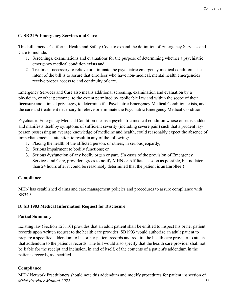#### <span id="page-52-0"></span>**C. SB 349: Emergency Services and Care**

This bill amends California Health and Safety Code to expand the definition of Emergency Services and Care to include:

- 1. Screenings, examinations and evaluations for the purpose of determining whether a psychiatric emergency medical condition exists and
- 2. Treatment necessary to relieve or eliminate the psychiatric emergency medical condition. The intent of the bill is to assure that enrollees who have non-medical, mental health emergencies receive proper access to and continuity of care.

Emergency Services and Care also means additional screening, examination and evaluation by a physician, or other personnel to the extent permitted by applicable law and within the scope of their licensure and clinical privileges, to determine if a Psychiatric Emergency Medical Condition exists, and the care and treatment necessary to relieve or eliminate the Psychiatric Emergency Medical Condition.

Psychiatric Emergency Medical Condition means a psychiatric medical condition whose onset is sudden and manifests itself by symptoms of sufficient severity (including severe pain) such that a prudent layperson possessing an average knowledge of medicine and health, could reasonably expect the absence of immediate medical attention to result in any of the following:

- 1. Placing the health of the afflicted person, or others, in seriousjeopardy;
- 2. Serious impairment to bodily functions; or
- 3. Serious dysfunction of any bodily organ or part. {In cases of the provision of Emergency Services and Care, provider agrees to notify MHN or Affiliate as soon as possible, but no later than 24 hours after it could be reasonably determined that the patient is an Enrollee.}"

#### **Compliance**

MHN has established claims and care management policies and procedures to assure compliance with SB349.

#### **D. SB 1903 Medical Information Request for Disclosure**

#### **Partial Summary**

Existing law (Section 123110) provides that an adult patient shall be entitled to inspect his or her patient records upon written request to the health care provider. SB1903 would authorize an adult patient to prepare a specified addendum to his or her patient records and require the health care provider to attach that addendum to the patient's records. The bill would also specify that the health care provider shall not be liable for the receipt and inclusion, in and of itself, of the contents of a patient's addendum in the patient's records, as specified.

#### **Compliance**

*MHN Provider Manual 2022* 53 MHN Network Practitioners should note this addendum and modify procedures for patient inspection of